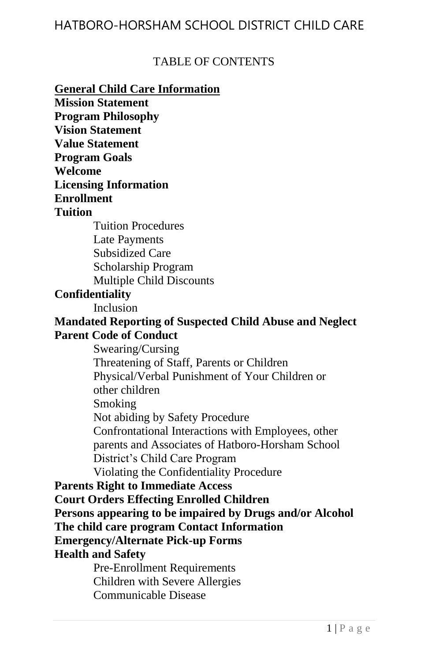#### TABLE OF CONTENTS

**General Child Care Information Mission Statement Program Philosophy Vision Statement Value Statement Program Goals Welcome Licensing Information Enrollment Tuition** Tuition Procedures Late Payments Subsidized Care Scholarship Program Multiple Child Discounts **Confidentiality** Inclusion **Mandated Reporting of Suspected Child Abuse and Neglect Parent Code of Conduct** Swearing/Cursing Threatening of Staff, Parents or Children Physical/Verbal Punishment of Your Children or other children Smoking Not abiding by Safety Procedure Confrontational Interactions with Employees, other parents and Associates of Hatboro-Horsham School District's Child Care Program Violating the Confidentiality Procedure **Parents Right to Immediate Access Court Orders Effecting Enrolled Children Persons appearing to be impaired by Drugs and/or Alcohol The child care program Contact Information Emergency/Alternate Pick-up Forms Health and Safety** Pre-Enrollment Requirements Children with Severe Allergies Communicable Disease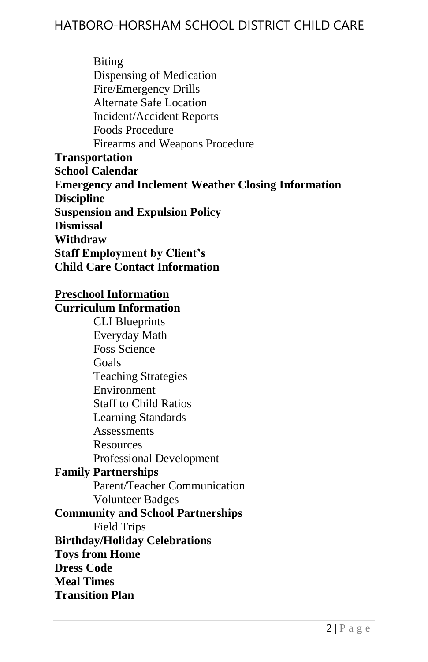Biting Dispensing of Medication Fire/Emergency Drills Alternate Safe Location Incident/Accident Reports Foods Procedure Firearms and Weapons Procedure **Transportation School Calendar Emergency and Inclement Weather Closing Information Discipline Suspension and Expulsion Policy Dismissal Withdraw Staff Employment by Client's Child Care Contact Information**

#### **Preschool Information**

#### **Curriculum Information**

CLI Blueprints Everyday Math Foss Science Goals Teaching Strategies Environment Staff to Child Ratios Learning Standards **Assessments** Resources Professional Development **Family Partnerships** Parent/Teacher Communication Volunteer Badges **Community and School Partnerships** Field Trips **Birthday/Holiday Celebrations Toys from Home Dress Code Meal Times Transition Plan**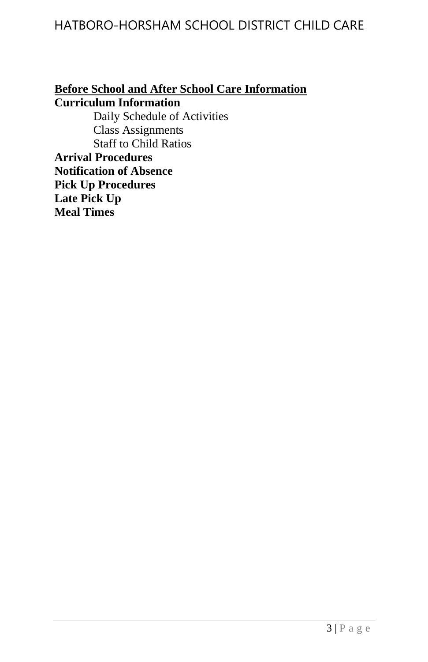#### **Before School and After School Care Information Curriculum Information**

Daily Schedule of Activities Class Assignments Staff to Child Ratios **Arrival Procedures Notification of Absence Pick Up Procedures Late Pick Up Meal Times**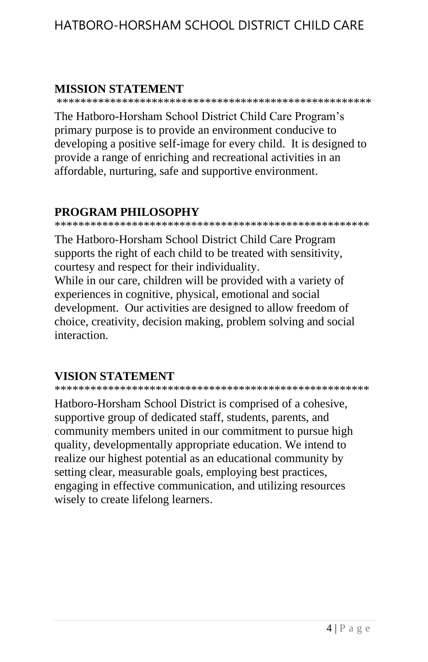#### **MISSION STATEMENT**

\*\*\*\*\*\*\*\*\*\*\*\*\*\*\*\*\*\*\*\*\*\*\*\*\*\*\*\*\*\*\*\*\*\*\*\*\*\*\*\*\*\*\*\*\*\*\*\*\*\*\*\*\*

The Hatboro-Horsham School District Child Care Program's primary purpose is to provide an environment conducive to developing a positive self-image for every child. It is designed to provide a range of enriching and recreational activities in an affordable, nurturing, safe and supportive environment.

### **PROGRAM PHILOSOPHY**

\*\*\*\*\*\*\*\*\*\*\*\*\*\*\*\*\*\*\*\*\*\*\*\*\*\*\*\*\*\*\*\*\*\*\*\*\*\*\*\*\*\*\*\*\*\*\*\*\*\*\*\*\*

The Hatboro-Horsham School District Child Care Program supports the right of each child to be treated with sensitivity, courtesy and respect for their individuality.

While in our care, children will be provided with a variety of experiences in cognitive, physical, emotional and social development. Our activities are designed to allow freedom of choice, creativity, decision making, problem solving and social interaction.

### **VISION STATEMENT**

\*\*\*\*\*\*\*\*\*\*\*\*\*\*\*\*\*\*\*\*\*\*\*\*\*\*\*\*\*\*\*\*\*\*\*\*\*\*\*\*\*\*\*\*\*\*\*\*\*\*\*\*\*

Hatboro-Horsham School District is comprised of a cohesive, supportive group of dedicated staff, students, parents, and community members united in our commitment to pursue high quality, developmentally appropriate education. We intend to realize our highest potential as an educational community by setting clear, measurable goals, employing best practices, engaging in effective communication, and utilizing resources wisely to create lifelong learners.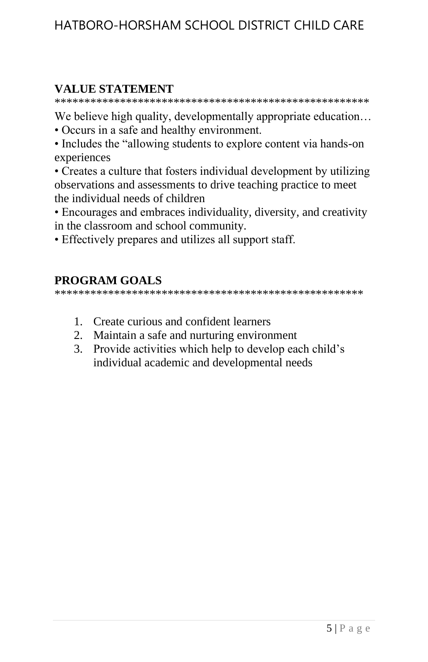#### **VALUE STATEMENT**

\*\*\*\*\*\*\*\*\*\*\*\*\*\*\*\*\*\*\*\*\*\*\*\*\*\*\*\*\*\*\*\*\*\*\*\*\*\*\*\*\*\*\*\*\*\*\*\*\*\*\*\*\*

We believe high quality, developmentally appropriate education…

- Occurs in a safe and healthy environment.
- Includes the "allowing students to explore content via hands-on experiences
- Creates a culture that fosters individual development by utilizing observations and assessments to drive teaching practice to meet the individual needs of children
- Encourages and embraces individuality, diversity, and creativity in the classroom and school community.
- Effectively prepares and utilizes all support staff.

### **PROGRAM GOALS**

\*\*\*\*\*\*\*\*\*\*\*\*\*\*\*\*\*\*\*\*\*\*\*\*\*\*\*\*\*\*\*\*\*\*\*\*\*\*\*\*\*\*\*\*\*\*\*\*\*\*\*\*

- 1. Create curious and confident learners
- 2. Maintain a safe and nurturing environment
- 3. Provide activities which help to develop each child's individual academic and developmental needs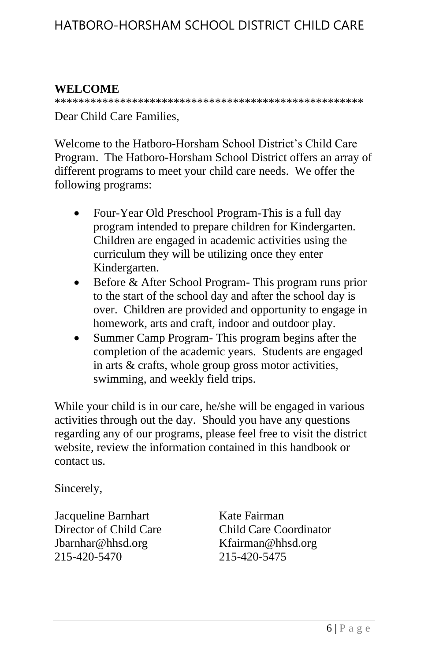### **WELCOME**

\*\*\*\*\*\*\*\*\*\*\*\*\*\*\*\*\*\*\*\*\*\*\*\*\*\*\*\*\*\*\*\*\*\*\*\*\*\*\*\*\*\*\*\*\*\*\*\*\*\*\*\*

Dear Child Care Families,

Welcome to the Hatboro-Horsham School District's Child Care Program. The Hatboro-Horsham School District offers an array of different programs to meet your child care needs. We offer the following programs:

- Four-Year Old Preschool Program-This is a full day program intended to prepare children for Kindergarten. Children are engaged in academic activities using the curriculum they will be utilizing once they enter Kindergarten.
- Before & After School Program- This program runs prior to the start of the school day and after the school day is over. Children are provided and opportunity to engage in homework, arts and craft, indoor and outdoor play.
- Summer Camp Program- This program begins after the completion of the academic years. Students are engaged in arts & crafts, whole group gross motor activities, swimming, and weekly field trips.

While your child is in our care, he/she will be engaged in various activities through out the day. Should you have any questions regarding any of our programs, please feel free to visit the district website, review the information contained in this handbook or contact us.

Sincerely,

Jacqueline Barnhart Kate Fairman Jbarnhar@hhsd.org Kfairman@hhsd.org 215-420-5470 215-420-5475

Director of Child Care Child Care Coordinator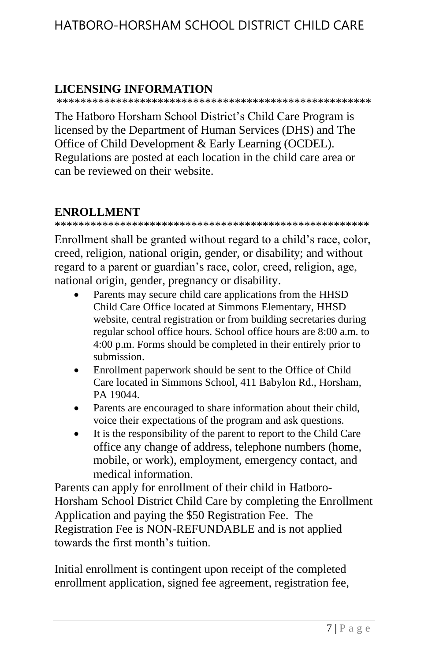#### **LICENSING INFORMATION**

\*\*\*\*\*\*\*\*\*\*\*\*\*\*\*\*\*\*\*\*\*\*\*\*\*\*\*\*\*\*\*\*\*\*\*\*\*\*\*\*\*\*\*\*\*\*\*\*\*\*\*\*\*

The Hatboro Horsham School District's Child Care Program is licensed by the Department of Human Services (DHS) and The Office of Child Development & Early Learning (OCDEL). Regulations are posted at each location in the child care area or can be reviewed on their website.

#### **ENROLLMENT**

\*\*\*\*\*\*\*\*\*\*\*\*\*\*\*\*\*\*\*\*\*\*\*\*\*\*\*\*\*\*\*\*\*\*\*\*\*\*\*\*\*\*\*\*\*\*\*\*\*\*\*\*\*

Enrollment shall be granted without regard to a child's race, color, creed, religion, national origin, gender, or disability; and without regard to a parent or guardian's race, color, creed, religion, age, national origin, gender, pregnancy or disability.

- Parents may secure child care applications from the HHSD Child Care Office located at Simmons Elementary, HHSD website, central registration or from building secretaries during regular school office hours. School office hours are 8:00 a.m. to 4:00 p.m. Forms should be completed in their entirely prior to submission.
- Enrollment paperwork should be sent to the Office of Child Care located in Simmons School, 411 Babylon Rd., Horsham, PA 19044.
- Parents are encouraged to share information about their child, voice their expectations of the program and ask questions.
- It is the responsibility of the parent to report to the Child Care office any change of address, telephone numbers (home, mobile, or work), employment, emergency contact, and medical information.

Parents can apply for enrollment of their child in Hatboro-Horsham School District Child Care by completing the Enrollment Application and paying the \$50 Registration Fee. The Registration Fee is NON-REFUNDABLE and is not applied towards the first month's tuition.

Initial enrollment is contingent upon receipt of the completed enrollment application, signed fee agreement, registration fee,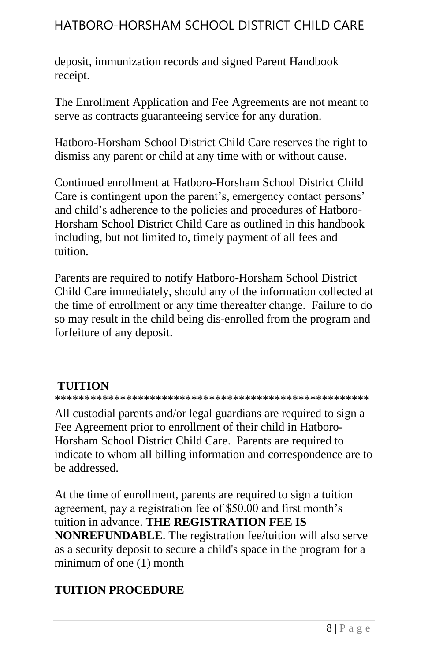deposit, immunization records and signed Parent Handbook receipt.

The Enrollment Application and Fee Agreements are not meant to serve as contracts guaranteeing service for any duration.

Hatboro-Horsham School District Child Care reserves the right to dismiss any parent or child at any time with or without cause.

Continued enrollment at Hatboro-Horsham School District Child Care is contingent upon the parent's, emergency contact persons' and child's adherence to the policies and procedures of Hatboro-Horsham School District Child Care as outlined in this handbook including, but not limited to, timely payment of all fees and tuition.

Parents are required to notify Hatboro-Horsham School District Child Care immediately, should any of the information collected at the time of enrollment or any time thereafter change. Failure to do so may result in the child being dis-enrolled from the program and forfeiture of any deposit.

#### **TUITION**

\*\*\*\*\*\*\*\*\*\*\*\*\*\*\*\*\*\*\*\*\*\*\*\*\*\*\*\*\*\*\*\*\*\*\*\*\*\*\*\*\*\*\*\*\*\*\*\*\*\*\*\*\*

All custodial parents and/or legal guardians are required to sign a Fee Agreement prior to enrollment of their child in Hatboro-Horsham School District Child Care. Parents are required to indicate to whom all billing information and correspondence are to be addressed.

At the time of enrollment, parents are required to sign a tuition agreement, pay a registration fee of \$50.00 and first month's tuition in advance. **THE REGISTRATION FEE IS NONREFUNDABLE**. The registration fee/tuition will also serve as a security deposit to secure a child's space in the program for a minimum of one (1) month

# **TUITION PROCEDURE**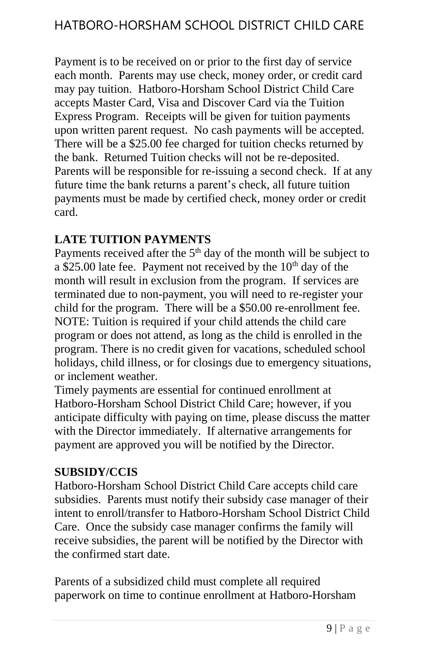Payment is to be received on or prior to the first day of service each month. Parents may use check, money order, or credit card may pay tuition. Hatboro-Horsham School District Child Care accepts Master Card, Visa and Discover Card via the Tuition Express Program. Receipts will be given for tuition payments upon written parent request. No cash payments will be accepted. There will be a \$25.00 fee charged for tuition checks returned by the bank. Returned Tuition checks will not be re-deposited. Parents will be responsible for re-issuing a second check. If at any future time the bank returns a parent's check, all future tuition payments must be made by certified check, money order or credit card.

### **LATE TUITION PAYMENTS**

Payments received after the  $5<sup>th</sup>$  day of the month will be subject to a \$25.00 late fee. Payment not received by the  $10<sup>th</sup>$  day of the month will result in exclusion from the program. If services are terminated due to non-payment, you will need to re-register your child for the program. There will be a \$50.00 re-enrollment fee. NOTE: Tuition is required if your child attends the child care program or does not attend, as long as the child is enrolled in the program. There is no credit given for vacations, scheduled school holidays, child illness, or for closings due to emergency situations, or inclement weather.

Timely payments are essential for continued enrollment at Hatboro-Horsham School District Child Care; however, if you anticipate difficulty with paying on time, please discuss the matter with the Director immediately. If alternative arrangements for payment are approved you will be notified by the Director.

#### **SUBSIDY/CCIS**

Hatboro-Horsham School District Child Care accepts child care subsidies. Parents must notify their subsidy case manager of their intent to enroll/transfer to Hatboro-Horsham School District Child Care. Once the subsidy case manager confirms the family will receive subsidies, the parent will be notified by the Director with the confirmed start date.

Parents of a subsidized child must complete all required paperwork on time to continue enrollment at Hatboro-Horsham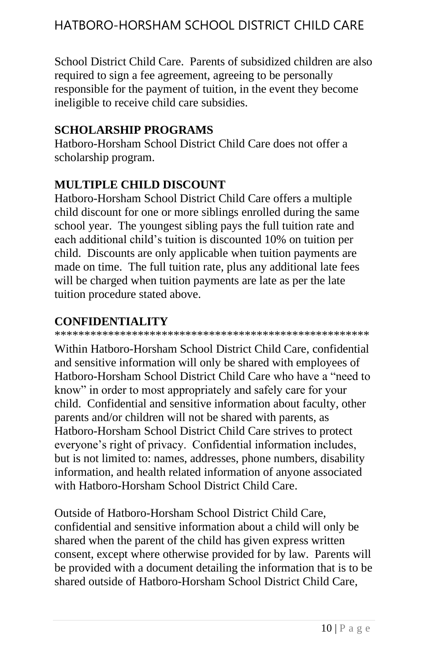School District Child Care. Parents of subsidized children are also required to sign a fee agreement, agreeing to be personally responsible for the payment of tuition, in the event they become ineligible to receive child care subsidies.

### **SCHOLARSHIP PROGRAMS**

Hatboro-Horsham School District Child Care does not offer a scholarship program.

#### **MULTIPLE CHILD DISCOUNT**

Hatboro-Horsham School District Child Care offers a multiple child discount for one or more siblings enrolled during the same school year. The youngest sibling pays the full tuition rate and each additional child's tuition is discounted 10% on tuition per child. Discounts are only applicable when tuition payments are made on time. The full tuition rate, plus any additional late fees will be charged when tuition payments are late as per the late tuition procedure stated above.

### **CONFIDENTIALITY**

\*\*\*\*\*\*\*\*\*\*\*\*\*\*\*\*\*\*\*\*\*\*\*\*\*\*\*\*\*\*\*\*\*\*\*\*\*\*\*\*\*\*\*\*\*\*\*\*\*\*\*\*\*

Within Hatboro-Horsham School District Child Care, confidential and sensitive information will only be shared with employees of Hatboro-Horsham School District Child Care who have a "need to know" in order to most appropriately and safely care for your child. Confidential and sensitive information about faculty, other parents and/or children will not be shared with parents, as Hatboro-Horsham School District Child Care strives to protect everyone's right of privacy. Confidential information includes, but is not limited to: names, addresses, phone numbers, disability information, and health related information of anyone associated with Hatboro-Horsham School District Child Care.

Outside of Hatboro-Horsham School District Child Care, confidential and sensitive information about a child will only be shared when the parent of the child has given express written consent, except where otherwise provided for by law. Parents will be provided with a document detailing the information that is to be shared outside of Hatboro-Horsham School District Child Care,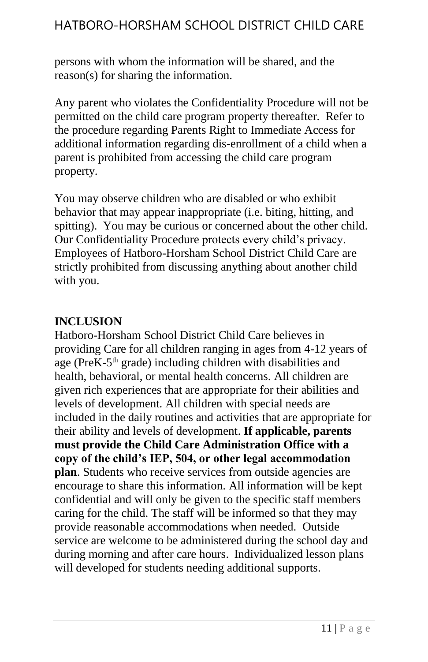persons with whom the information will be shared, and the reason(s) for sharing the information.

Any parent who violates the Confidentiality Procedure will not be permitted on the child care program property thereafter. Refer to the procedure regarding Parents Right to Immediate Access for additional information regarding dis-enrollment of a child when a parent is prohibited from accessing the child care program property.

You may observe children who are disabled or who exhibit behavior that may appear inappropriate (i.e. biting, hitting, and spitting). You may be curious or concerned about the other child. Our Confidentiality Procedure protects every child's privacy. Employees of Hatboro-Horsham School District Child Care are strictly prohibited from discussing anything about another child with you.

#### **INCLUSION**

Hatboro-Horsham School District Child Care believes in providing Care for all children ranging in ages from 4-12 years of age (PreK-5<sup>th</sup> grade) including children with disabilities and health, behavioral, or mental health concerns. All children are given rich experiences that are appropriate for their abilities and levels of development. All children with special needs are included in the daily routines and activities that are appropriate for their ability and levels of development. **If applicable, parents must provide the Child Care Administration Office with a copy of the child's IEP, 504, or other legal accommodation plan**. Students who receive services from outside agencies are encourage to share this information. All information will be kept confidential and will only be given to the specific staff members caring for the child. The staff will be informed so that they may provide reasonable accommodations when needed. Outside service are welcome to be administered during the school day and during morning and after care hours. Individualized lesson plans will developed for students needing additional supports.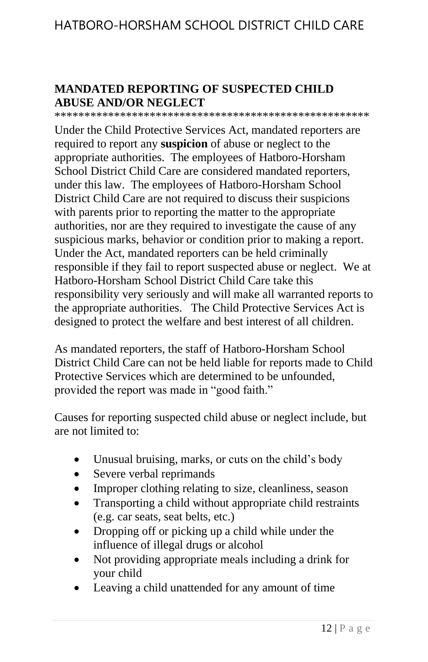#### **MANDATED REPORTING OF SUSPECTED CHILD ABUSE AND/OR NEGLECT**

\*\*\*\*\*\*\*\*\*\*\*\*\*\*\*\*\*\*\*\*\*\*\*\*\*\*\*\*\*\*\*\*\*\*\*\*\*\*\*\*\*\*\*\*\*\*\*\*\*\*\*\*\*

Under the Child Protective Services Act, mandated reporters are required to report any **suspicion** of abuse or neglect to the appropriate authorities. The employees of Hatboro-Horsham School District Child Care are considered mandated reporters, under this law. The employees of Hatboro-Horsham School District Child Care are not required to discuss their suspicions with parents prior to reporting the matter to the appropriate authorities, nor are they required to investigate the cause of any suspicious marks, behavior or condition prior to making a report. Under the Act, mandated reporters can be held criminally responsible if they fail to report suspected abuse or neglect. We at Hatboro-Horsham School District Child Care take this responsibility very seriously and will make all warranted reports to the appropriate authorities. The Child Protective Services Act is designed to protect the welfare and best interest of all children.

As mandated reporters, the staff of Hatboro-Horsham School District Child Care can not be held liable for reports made to Child Protective Services which are determined to be unfounded, provided the report was made in "good faith."

Causes for reporting suspected child abuse or neglect include, but are not limited to:

- Unusual bruising, marks, or cuts on the child's body
- Severe verbal reprimands
- Improper clothing relating to size, cleanliness, season
- Transporting a child without appropriate child restraints (e.g. car seats, seat belts, etc.)
- Dropping off or picking up a child while under the influence of illegal drugs or alcohol
- Not providing appropriate meals including a drink for your child
- Leaving a child unattended for any amount of time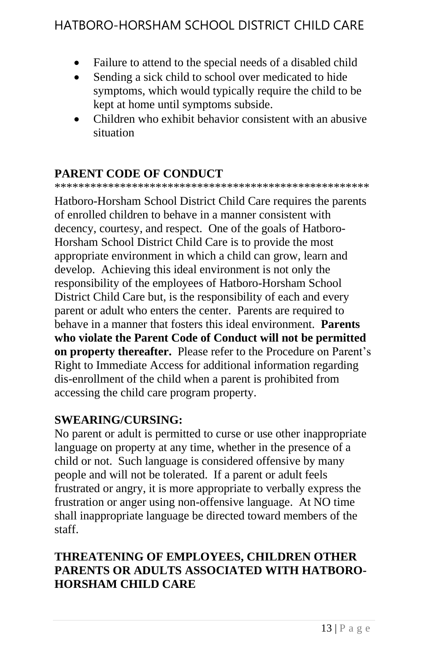- Failure to attend to the special needs of a disabled child
- Sending a sick child to school over medicated to hide symptoms, which would typically require the child to be kept at home until symptoms subside.
- Children who exhibit behavior consistent with an abusive situation

### **PARENT CODE OF CONDUCT**

\*\*\*\*\*\*\*\*\*\*\*\*\*\*\*\*\*\*\*\*\*\*\*\*\*\*\*\*\*\*\*\*\*\*\*\*\*\*\*\*\*\*\*\*\*\*\*\*\*\*\*\*\*

Hatboro-Horsham School District Child Care requires the parents of enrolled children to behave in a manner consistent with decency, courtesy, and respect. One of the goals of Hatboro-Horsham School District Child Care is to provide the most appropriate environment in which a child can grow, learn and develop. Achieving this ideal environment is not only the responsibility of the employees of Hatboro-Horsham School District Child Care but, is the responsibility of each and every parent or adult who enters the center. Parents are required to behave in a manner that fosters this ideal environment. **Parents who violate the Parent Code of Conduct will not be permitted on property thereafter.** Please refer to the Procedure on Parent's Right to Immediate Access for additional information regarding dis-enrollment of the child when a parent is prohibited from accessing the child care program property.

### **SWEARING/CURSING:**

No parent or adult is permitted to curse or use other inappropriate language on property at any time, whether in the presence of a child or not. Such language is considered offensive by many people and will not be tolerated. If a parent or adult feels frustrated or angry, it is more appropriate to verbally express the frustration or anger using non-offensive language. At NO time shall inappropriate language be directed toward members of the staff.

### **THREATENING OF EMPLOYEES, CHILDREN OTHER PARENTS OR ADULTS ASSOCIATED WITH HATBORO-HORSHAM CHILD CARE**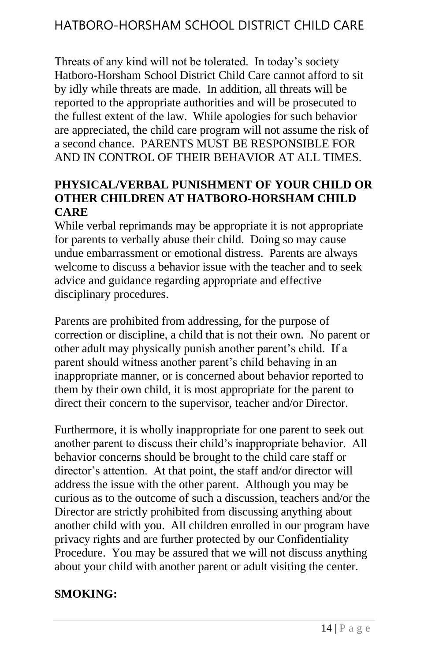Threats of any kind will not be tolerated. In today's society Hatboro-Horsham School District Child Care cannot afford to sit by idly while threats are made. In addition, all threats will be reported to the appropriate authorities and will be prosecuted to the fullest extent of the law. While apologies for such behavior are appreciated, the child care program will not assume the risk of a second chance. PARENTS MUST BE RESPONSIBLE FOR AND IN CONTROL OF THEIR BEHAVIOR AT ALL TIMES.

### **PHYSICAL/VERBAL PUNISHMENT OF YOUR CHILD OR OTHER CHILDREN AT HATBORO-HORSHAM CHILD CARE**

While verbal reprimands may be appropriate it is not appropriate for parents to verbally abuse their child. Doing so may cause undue embarrassment or emotional distress. Parents are always welcome to discuss a behavior issue with the teacher and to seek advice and guidance regarding appropriate and effective disciplinary procedures.

Parents are prohibited from addressing, for the purpose of correction or discipline, a child that is not their own. No parent or other adult may physically punish another parent's child. If a parent should witness another parent's child behaving in an inappropriate manner, or is concerned about behavior reported to them by their own child, it is most appropriate for the parent to direct their concern to the supervisor, teacher and/or Director.

Furthermore, it is wholly inappropriate for one parent to seek out another parent to discuss their child's inappropriate behavior. All behavior concerns should be brought to the child care staff or director's attention. At that point, the staff and/or director will address the issue with the other parent. Although you may be curious as to the outcome of such a discussion, teachers and/or the Director are strictly prohibited from discussing anything about another child with you. All children enrolled in our program have privacy rights and are further protected by our Confidentiality Procedure. You may be assured that we will not discuss anything about your child with another parent or adult visiting the center.

### **SMOKING:**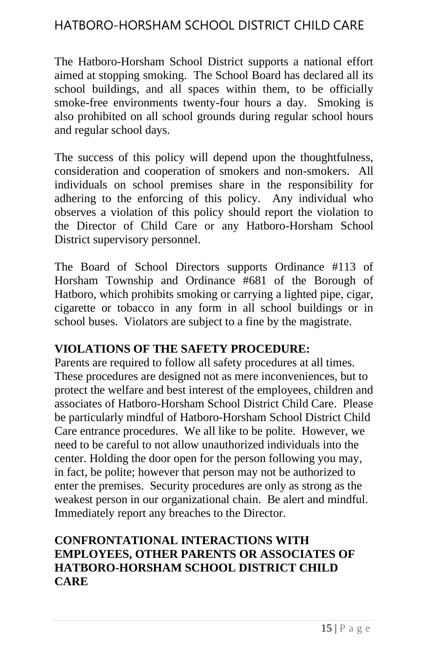The Hatboro-Horsham School District supports a national effort aimed at stopping smoking. The School Board has declared all its school buildings, and all spaces within them, to be officially smoke-free environments twenty-four hours a day. Smoking is also prohibited on all school grounds during regular school hours and regular school days.

The success of this policy will depend upon the thoughtfulness, consideration and cooperation of smokers and non-smokers. All individuals on school premises share in the responsibility for adhering to the enforcing of this policy. Any individual who observes a violation of this policy should report the violation to the Director of Child Care or any Hatboro-Horsham School District supervisory personnel.

The Board of School Directors supports Ordinance #113 of Horsham Township and Ordinance #681 of the Borough of Hatboro, which prohibits smoking or carrying a lighted pipe, cigar, cigarette or tobacco in any form in all school buildings or in school buses. Violators are subject to a fine by the magistrate.

#### **VIOLATIONS OF THE SAFETY PROCEDURE:**

Parents are required to follow all safety procedures at all times. These procedures are designed not as mere inconveniences, but to protect the welfare and best interest of the employees, children and associates of Hatboro-Horsham School District Child Care. Please be particularly mindful of Hatboro-Horsham School District Child Care entrance procedures. We all like to be polite. However, we need to be careful to not allow unauthorized individuals into the center. Holding the door open for the person following you may, in fact, be polite; however that person may not be authorized to enter the premises. Security procedures are only as strong as the weakest person in our organizational chain. Be alert and mindful. Immediately report any breaches to the Director.

### **CONFRONTATIONAL INTERACTIONS WITH EMPLOYEES, OTHER PARENTS OR ASSOCIATES OF HATBORO-HORSHAM SCHOOL DISTRICT CHILD CARE**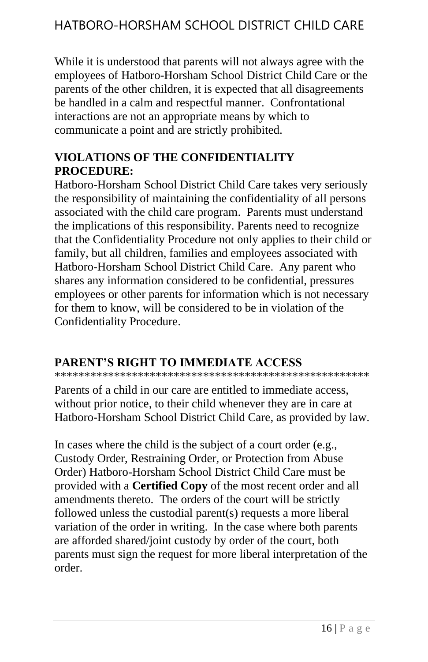While it is understood that parents will not always agree with the employees of Hatboro-Horsham School District Child Care or the parents of the other children, it is expected that all disagreements be handled in a calm and respectful manner. Confrontational interactions are not an appropriate means by which to communicate a point and are strictly prohibited.

### **VIOLATIONS OF THE CONFIDENTIALITY PROCEDURE:**

Hatboro-Horsham School District Child Care takes very seriously the responsibility of maintaining the confidentiality of all persons associated with the child care program. Parents must understand the implications of this responsibility. Parents need to recognize that the Confidentiality Procedure not only applies to their child or family, but all children, families and employees associated with Hatboro-Horsham School District Child Care. Any parent who shares any information considered to be confidential, pressures employees or other parents for information which is not necessary for them to know, will be considered to be in violation of the Confidentiality Procedure.

### **PARENT'S RIGHT TO IMMEDIATE ACCESS**

\*\*\*\*\*\*\*\*\*\*\*\*\*\*\*\*\*\*\*\*\*\*\*\*\*\*\*\*\*\*\*\*\*\*\*\*\*\*\*\*\*\*\*\*\*\*\*\*\*\*\*\*\*

Parents of a child in our care are entitled to immediate access, without prior notice, to their child whenever they are in care at Hatboro-Horsham School District Child Care, as provided by law.

In cases where the child is the subject of a court order (e.g., Custody Order, Restraining Order, or Protection from Abuse Order) Hatboro-Horsham School District Child Care must be provided with a **Certified Copy** of the most recent order and all amendments thereto. The orders of the court will be strictly followed unless the custodial parent(s) requests a more liberal variation of the order in writing. In the case where both parents are afforded shared/joint custody by order of the court, both parents must sign the request for more liberal interpretation of the order.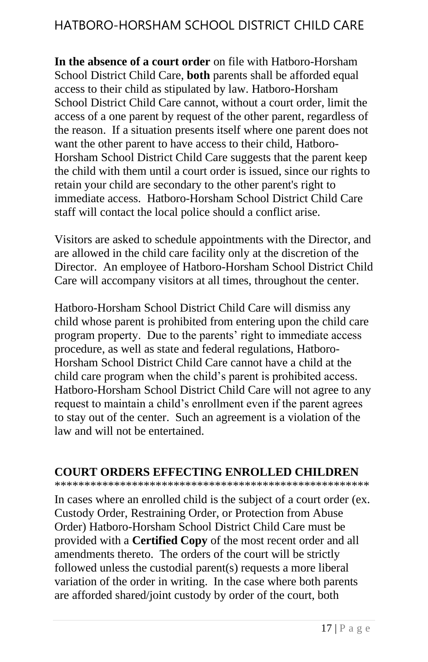**In the absence of a court order** on file with Hatboro-Horsham School District Child Care, **both** parents shall be afforded equal access to their child as stipulated by law. Hatboro-Horsham School District Child Care cannot, without a court order, limit the access of a one parent by request of the other parent, regardless of the reason. If a situation presents itself where one parent does not want the other parent to have access to their child, Hatboro-Horsham School District Child Care suggests that the parent keep the child with them until a court order is issued, since our rights to retain your child are secondary to the other parent's right to immediate access. Hatboro-Horsham School District Child Care staff will contact the local police should a conflict arise.

Visitors are asked to schedule appointments with the Director, and are allowed in the child care facility only at the discretion of the Director. An employee of Hatboro-Horsham School District Child Care will accompany visitors at all times, throughout the center.

Hatboro-Horsham School District Child Care will dismiss any child whose parent is prohibited from entering upon the child care program property. Due to the parents' right to immediate access procedure, as well as state and federal regulations, Hatboro-Horsham School District Child Care cannot have a child at the child care program when the child's parent is prohibited access. Hatboro-Horsham School District Child Care will not agree to any request to maintain a child's enrollment even if the parent agrees to stay out of the center. Such an agreement is a violation of the law and will not be entertained.

#### **COURT ORDERS EFFECTING ENROLLED CHILDREN**

\*\*\*\*\*\*\*\*\*\*\*\*\*\*\*\*\*\*\*\*\*\*\*\*\*\*\*\*\*\*\*\*\*\*\*\*\*\*\*\*\*\*\*\*\*\*\*\*\*\*\*\*\*

In cases where an enrolled child is the subject of a court order (ex. Custody Order, Restraining Order, or Protection from Abuse Order) Hatboro-Horsham School District Child Care must be provided with a **Certified Copy** of the most recent order and all amendments thereto. The orders of the court will be strictly followed unless the custodial parent(s) requests a more liberal variation of the order in writing. In the case where both parents are afforded shared/joint custody by order of the court, both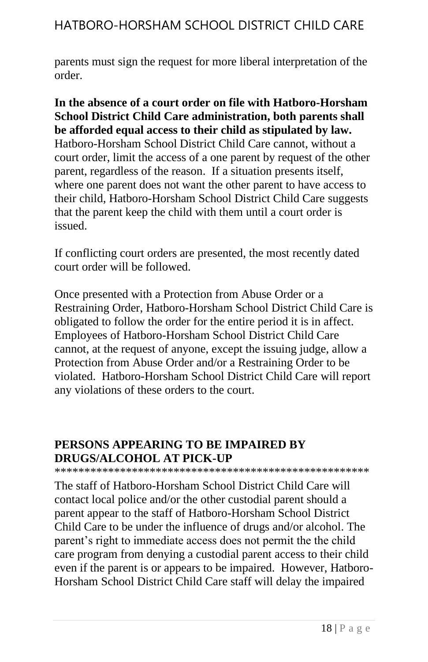parents must sign the request for more liberal interpretation of the order.

**In the absence of a court order on file with Hatboro-Horsham School District Child Care administration, both parents shall be afforded equal access to their child as stipulated by law.** Hatboro-Horsham School District Child Care cannot, without a court order, limit the access of a one parent by request of the other parent, regardless of the reason. If a situation presents itself, where one parent does not want the other parent to have access to their child, Hatboro-Horsham School District Child Care suggests that the parent keep the child with them until a court order is issued.

If conflicting court orders are presented, the most recently dated court order will be followed.

Once presented with a Protection from Abuse Order or a Restraining Order, Hatboro-Horsham School District Child Care is obligated to follow the order for the entire period it is in affect. Employees of Hatboro-Horsham School District Child Care cannot, at the request of anyone, except the issuing judge, allow a Protection from Abuse Order and/or a Restraining Order to be violated. Hatboro-Horsham School District Child Care will report any violations of these orders to the court.

### **PERSONS APPEARING TO BE IMPAIRED BY DRUGS/ALCOHOL AT PICK-UP**

\*\*\*\*\*\*\*\*\*\*\*\*\*\*\*\*\*\*\*\*\*\*\*\*\*\*\*\*\*\*\*\*\*\*\*\*\*\*\*\*\*\*\*\*\*\*\*\*\*\*\*\*\*

The staff of Hatboro-Horsham School District Child Care will contact local police and/or the other custodial parent should a parent appear to the staff of Hatboro-Horsham School District Child Care to be under the influence of drugs and/or alcohol. The parent's right to immediate access does not permit the the child care program from denying a custodial parent access to their child even if the parent is or appears to be impaired. However, Hatboro-Horsham School District Child Care staff will delay the impaired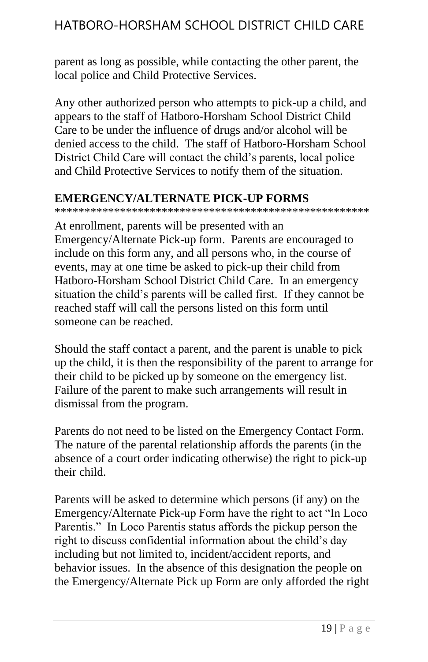parent as long as possible, while contacting the other parent, the local police and Child Protective Services.

Any other authorized person who attempts to pick-up a child, and appears to the staff of Hatboro-Horsham School District Child Care to be under the influence of drugs and/or alcohol will be denied access to the child. The staff of Hatboro-Horsham School District Child Care will contact the child's parents, local police and Child Protective Services to notify them of the situation.

### **EMERGENCY/ALTERNATE PICK-UP FORMS**

\*\*\*\*\*\*\*\*\*\*\*\*\*\*\*\*\*\*\*\*\*\*\*\*\*\*\*\*\*\*\*\*\*\*\*\*\*\*\*\*\*\*\*\*\*\*\*\*\*\*\*\*\*

At enrollment, parents will be presented with an Emergency/Alternate Pick-up form. Parents are encouraged to include on this form any, and all persons who, in the course of events, may at one time be asked to pick-up their child from Hatboro-Horsham School District Child Care. In an emergency situation the child's parents will be called first. If they cannot be reached staff will call the persons listed on this form until someone can be reached.

Should the staff contact a parent, and the parent is unable to pick up the child, it is then the responsibility of the parent to arrange for their child to be picked up by someone on the emergency list. Failure of the parent to make such arrangements will result in dismissal from the program.

Parents do not need to be listed on the Emergency Contact Form. The nature of the parental relationship affords the parents (in the absence of a court order indicating otherwise) the right to pick-up their child.

Parents will be asked to determine which persons (if any) on the Emergency/Alternate Pick-up Form have the right to act "In Loco Parentis." In Loco Parentis status affords the pickup person the right to discuss confidential information about the child's day including but not limited to, incident/accident reports, and behavior issues. In the absence of this designation the people on the Emergency/Alternate Pick up Form are only afforded the right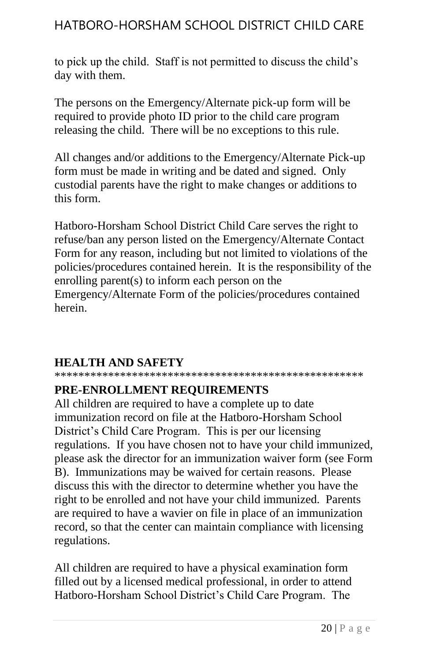to pick up the child. Staff is not permitted to discuss the child's day with them.

The persons on the Emergency/Alternate pick-up form will be required to provide photo ID prior to the child care program releasing the child. There will be no exceptions to this rule.

All changes and/or additions to the Emergency/Alternate Pick-up form must be made in writing and be dated and signed. Only custodial parents have the right to make changes or additions to this form.

Hatboro-Horsham School District Child Care serves the right to refuse/ban any person listed on the Emergency/Alternate Contact Form for any reason, including but not limited to violations of the policies/procedures contained herein. It is the responsibility of the enrolling parent(s) to inform each person on the Emergency/Alternate Form of the policies/procedures contained herein.

### **HEALTH AND SAFETY**

\*\*\*\*\*\*\*\*\*\*\*\*\*\*\*\*\*\*\*\*\*\*\*\*\*\*\*\*\*\*\*\*\*\*\*\*\*\*\*\*\*\*\*\*\*\*\*\*\*\*\*\*

### **PRE-ENROLLMENT REQUIREMENTS**

All children are required to have a complete up to date immunization record on file at the Hatboro-Horsham School District's Child Care Program. This is per our licensing regulations. If you have chosen not to have your child immunized, please ask the director for an immunization waiver form (see Form B). Immunizations may be waived for certain reasons. Please discuss this with the director to determine whether you have the right to be enrolled and not have your child immunized. Parents are required to have a wavier on file in place of an immunization record, so that the center can maintain compliance with licensing regulations.

All children are required to have a physical examination form filled out by a licensed medical professional, in order to attend Hatboro-Horsham School District's Child Care Program. The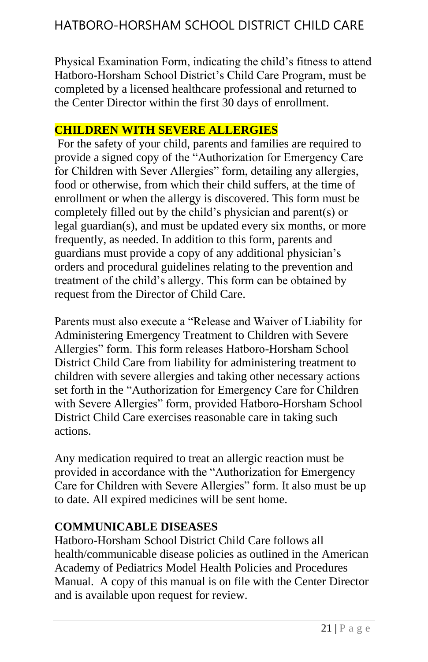Physical Examination Form, indicating the child's fitness to attend Hatboro-Horsham School District's Child Care Program, must be completed by a licensed healthcare professional and returned to the Center Director within the first 30 days of enrollment.

### **CHILDREN WITH SEVERE ALLERGIES**

For the safety of your child, parents and families are required to provide a signed copy of the "Authorization for Emergency Care for Children with Sever Allergies" form, detailing any allergies, food or otherwise, from which their child suffers, at the time of enrollment or when the allergy is discovered. This form must be completely filled out by the child's physician and parent(s) or legal guardian(s), and must be updated every six months, or more frequently, as needed. In addition to this form, parents and guardians must provide a copy of any additional physician's orders and procedural guidelines relating to the prevention and treatment of the child's allergy. This form can be obtained by request from the Director of Child Care.

Parents must also execute a "Release and Waiver of Liability for Administering Emergency Treatment to Children with Severe Allergies" form. This form releases Hatboro-Horsham School District Child Care from liability for administering treatment to children with severe allergies and taking other necessary actions set forth in the "Authorization for Emergency Care for Children with Severe Allergies" form, provided Hatboro-Horsham School District Child Care exercises reasonable care in taking such actions.

Any medication required to treat an allergic reaction must be provided in accordance with the "Authorization for Emergency Care for Children with Severe Allergies" form. It also must be up to date. All expired medicines will be sent home.

### **COMMUNICABLE DISEASES**

Hatboro-Horsham School District Child Care follows all health/communicable disease policies as outlined in the American Academy of Pediatrics Model Health Policies and Procedures Manual. A copy of this manual is on file with the Center Director and is available upon request for review.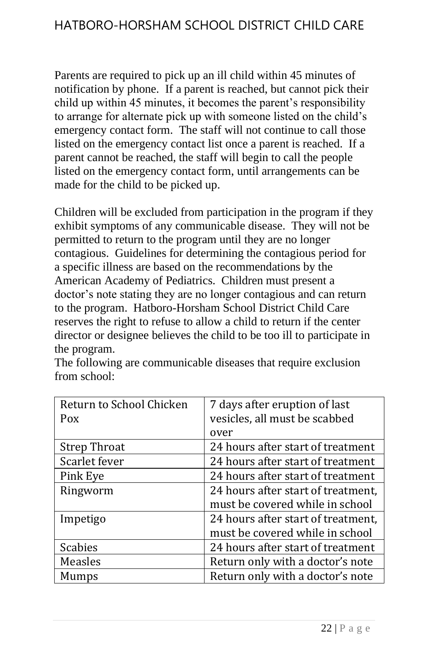Parents are required to pick up an ill child within 45 minutes of notification by phone. If a parent is reached, but cannot pick their child up within 45 minutes, it becomes the parent's responsibility to arrange for alternate pick up with someone listed on the child's emergency contact form. The staff will not continue to call those listed on the emergency contact list once a parent is reached. If a parent cannot be reached, the staff will begin to call the people listed on the emergency contact form, until arrangements can be made for the child to be picked up.

Children will be excluded from participation in the program if they exhibit symptoms of any communicable disease. They will not be permitted to return to the program until they are no longer contagious. Guidelines for determining the contagious period for a specific illness are based on the recommendations by the American Academy of Pediatrics. Children must present a doctor's note stating they are no longer contagious and can return to the program. Hatboro-Horsham School District Child Care reserves the right to refuse to allow a child to return if the center director or designee believes the child to be too ill to participate in the program.

| Return to School Chicken<br>Pox | 7 days after eruption of last<br>vesicles, all must be scabbed |
|---------------------------------|----------------------------------------------------------------|
|                                 | over                                                           |
| <b>Strep Throat</b>             | 24 hours after start of treatment                              |
| Scarlet fever                   | 24 hours after start of treatment                              |
| Pink Eye                        | 24 hours after start of treatment                              |
| Ringworm                        | 24 hours after start of treatment,                             |
|                                 | must be covered while in school                                |
| Impetigo                        | 24 hours after start of treatment,                             |
|                                 | must be covered while in school                                |
| <b>Scabies</b>                  | 24 hours after start of treatment                              |
| Measles                         | Return only with a doctor's note                               |
| Mumps                           | Return only with a doctor's note                               |

The following are communicable diseases that require exclusion from school: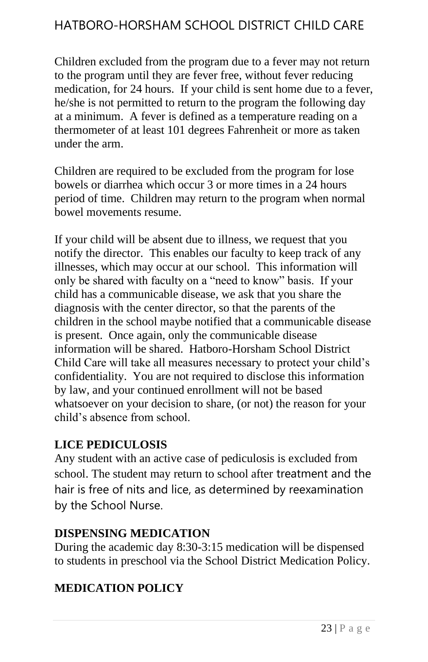Children excluded from the program due to a fever may not return to the program until they are fever free, without fever reducing medication, for 24 hours. If your child is sent home due to a fever, he/she is not permitted to return to the program the following day at a minimum. A fever is defined as a temperature reading on a thermometer of at least 101 degrees Fahrenheit or more as taken under the arm.

Children are required to be excluded from the program for lose bowels or diarrhea which occur 3 or more times in a 24 hours period of time. Children may return to the program when normal bowel movements resume.

If your child will be absent due to illness, we request that you notify the director. This enables our faculty to keep track of any illnesses, which may occur at our school. This information will only be shared with faculty on a "need to know" basis. If your child has a communicable disease, we ask that you share the diagnosis with the center director, so that the parents of the children in the school maybe notified that a communicable disease is present. Once again, only the communicable disease information will be shared. Hatboro-Horsham School District Child Care will take all measures necessary to protect your child's confidentiality. You are not required to disclose this information by law, and your continued enrollment will not be based whatsoever on your decision to share, (or not) the reason for your child's absence from school.

#### **LICE PEDICULOSIS**

Any student with an active case of pediculosis is excluded from school. The student may return to school after treatment and the hair is free of nits and lice, as determined by reexamination by the School Nurse.

#### **DISPENSING MEDICATION**

During the academic day 8:30-3:15 medication will be dispensed to students in preschool via the School District Medication Policy.

### **MEDICATION POLICY**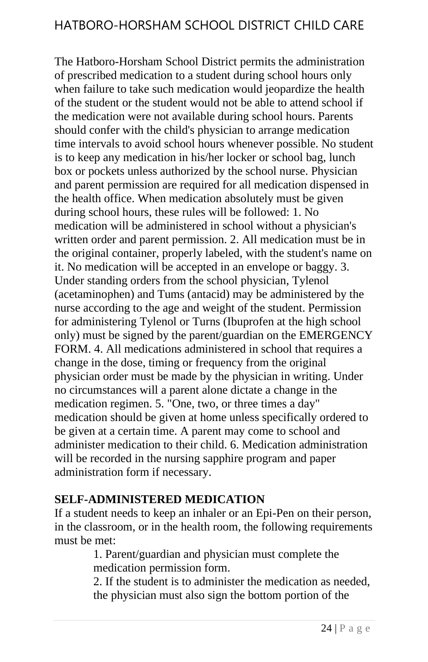The Hatboro-Horsham School District permits the administration of prescribed medication to a student during school hours only when failure to take such medication would jeopardize the health of the student or the student would not be able to attend school if the medication were not available during school hours. Parents should confer with the child's physician to arrange medication time intervals to avoid school hours whenever possible. No student is to keep any medication in his/her locker or school bag, lunch box or pockets unless authorized by the school nurse. Physician and parent permission are required for all medication dispensed in the health office. When medication absolutely must be given during school hours, these rules will be followed: 1. No medication will be administered in school without a physician's written order and parent permission. 2. All medication must be in the original container, properly labeled, with the student's name on it. No medication will be accepted in an envelope or baggy. 3. Under standing orders from the school physician, Tylenol (acetaminophen) and Tums (antacid) may be administered by the nurse according to the age and weight of the student. Permission for administering Tylenol or Turns (Ibuprofen at the high school only) must be signed by the parent/guardian on the EMERGENCY FORM. 4. All medications administered in school that requires a change in the dose, timing or frequency from the original physician order must be made by the physician in writing. Under no circumstances will a parent alone dictate a change in the medication regimen. 5. "One, two, or three times a day" medication should be given at home unless specifically ordered to be given at a certain time. A parent may come to school and administer medication to their child. 6. Medication administration will be recorded in the nursing sapphire program and paper administration form if necessary.

#### **SELF-ADMINISTERED MEDICATION**

If a student needs to keep an inhaler or an Epi-Pen on their person, in the classroom, or in the health room, the following requirements must be met:

1. Parent/guardian and physician must complete the medication permission form.

2. If the student is to administer the medication as needed, the physician must also sign the bottom portion of the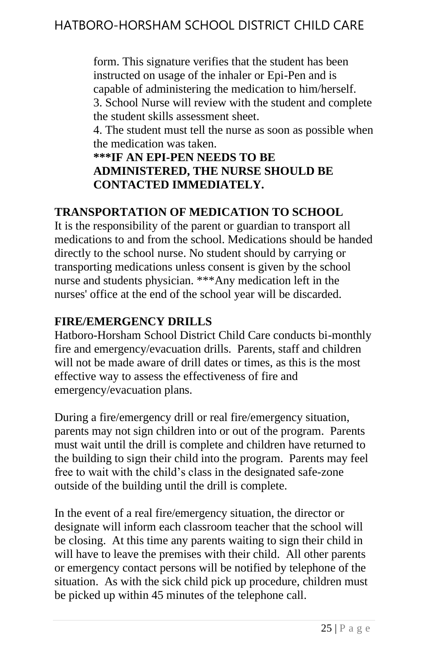form. This signature verifies that the student has been instructed on usage of the inhaler or Epi-Pen and is capable of administering the medication to him/herself. 3. School Nurse will review with the student and complete the student skills assessment sheet.

4. The student must tell the nurse as soon as possible when the medication was taken.

**\*\*\*IF AN EPI-PEN NEEDS TO BE ADMINISTERED, THE NURSE SHOULD BE CONTACTED IMMEDIATELY.**

### **TRANSPORTATION OF MEDICATION TO SCHOOL**

It is the responsibility of the parent or guardian to transport all medications to and from the school. Medications should be handed directly to the school nurse. No student should by carrying or transporting medications unless consent is given by the school nurse and students physician. \*\*\*Any medication left in the nurses' office at the end of the school year will be discarded.

### **FIRE/EMERGENCY DRILLS**

Hatboro-Horsham School District Child Care conducts bi-monthly fire and emergency/evacuation drills. Parents, staff and children will not be made aware of drill dates or times, as this is the most effective way to assess the effectiveness of fire and emergency/evacuation plans.

During a fire/emergency drill or real fire/emergency situation, parents may not sign children into or out of the program. Parents must wait until the drill is complete and children have returned to the building to sign their child into the program. Parents may feel free to wait with the child's class in the designated safe-zone outside of the building until the drill is complete.

In the event of a real fire/emergency situation, the director or designate will inform each classroom teacher that the school will be closing. At this time any parents waiting to sign their child in will have to leave the premises with their child. All other parents or emergency contact persons will be notified by telephone of the situation. As with the sick child pick up procedure, children must be picked up within 45 minutes of the telephone call.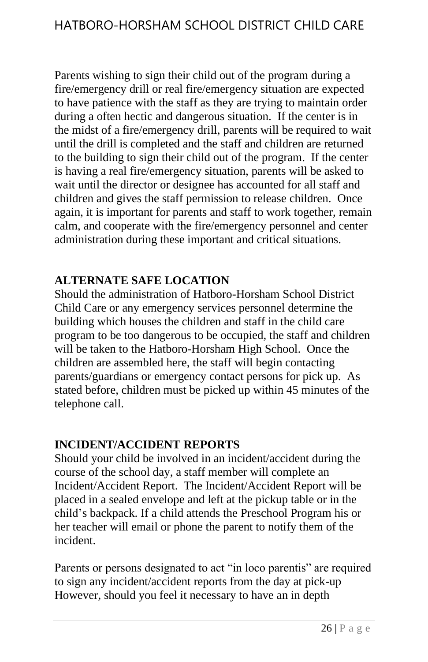Parents wishing to sign their child out of the program during a fire/emergency drill or real fire/emergency situation are expected to have patience with the staff as they are trying to maintain order during a often hectic and dangerous situation. If the center is in the midst of a fire/emergency drill, parents will be required to wait until the drill is completed and the staff and children are returned to the building to sign their child out of the program. If the center is having a real fire/emergency situation, parents will be asked to wait until the director or designee has accounted for all staff and children and gives the staff permission to release children. Once again, it is important for parents and staff to work together, remain calm, and cooperate with the fire/emergency personnel and center administration during these important and critical situations.

#### **ALTERNATE SAFE LOCATION**

Should the administration of Hatboro-Horsham School District Child Care or any emergency services personnel determine the building which houses the children and staff in the child care program to be too dangerous to be occupied, the staff and children will be taken to the Hatboro-Horsham High School. Once the children are assembled here, the staff will begin contacting parents/guardians or emergency contact persons for pick up. As stated before, children must be picked up within 45 minutes of the telephone call.

#### **INCIDENT/ACCIDENT REPORTS**

Should your child be involved in an incident/accident during the course of the school day, a staff member will complete an Incident/Accident Report. The Incident/Accident Report will be placed in a sealed envelope and left at the pickup table or in the child's backpack. If a child attends the Preschool Program his or her teacher will email or phone the parent to notify them of the incident.

Parents or persons designated to act "in loco parentis" are required to sign any incident/accident reports from the day at pick-up However, should you feel it necessary to have an in depth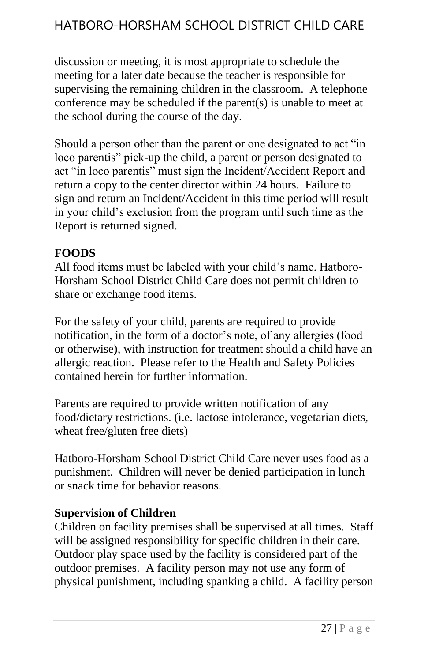discussion or meeting, it is most appropriate to schedule the meeting for a later date because the teacher is responsible for supervising the remaining children in the classroom. A telephone conference may be scheduled if the parent(s) is unable to meet at the school during the course of the day.

Should a person other than the parent or one designated to act "in loco parentis" pick-up the child, a parent or person designated to act "in loco parentis" must sign the Incident/Accident Report and return a copy to the center director within 24 hours. Failure to sign and return an Incident/Accident in this time period will result in your child's exclusion from the program until such time as the Report is returned signed.

#### **FOODS**

All food items must be labeled with your child's name. Hatboro-Horsham School District Child Care does not permit children to share or exchange food items.

For the safety of your child, parents are required to provide notification, in the form of a doctor's note, of any allergies (food or otherwise), with instruction for treatment should a child have an allergic reaction. Please refer to the Health and Safety Policies contained herein for further information.

Parents are required to provide written notification of any food/dietary restrictions. (i.e. lactose intolerance, vegetarian diets, wheat free/gluten free diets)

Hatboro-Horsham School District Child Care never uses food as a punishment. Children will never be denied participation in lunch or snack time for behavior reasons.

#### **Supervision of Children**

Children on facility premises shall be supervised at all times. Staff will be assigned responsibility for specific children in their care. Outdoor play space used by the facility is considered part of the outdoor premises. A facility person may not use any form of physical punishment, including spanking a child. A facility person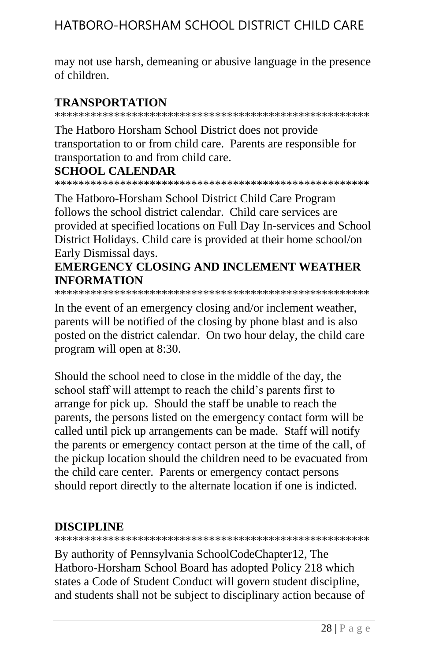may not use harsh, demeaning or abusive language in the presence of children.

#### **TRANSPORTATION**

\*\*\*\*\*\*\*\*\*\*\*\*\*\*\*\*\*\*\*\*\*\*\*\*\*\*\*\*\*\*\*\*\*\*\*\*\*\*\*\*\*\*\*\*\*\*\*\*\*\*\*\*\*

The Hatboro Horsham School District does not provide transportation to or from child care. Parents are responsible for transportation to and from child care.

#### **SCHOOL CALENDAR**

\*\*\*\*\*\*\*\*\*\*\*\*\*\*\*\*\*\*\*\*\*\*\*\*\*\*\*\*\*\*\*\*\*\*\*\*\*\*\*\*\*\*\*\*\*\*\*\*\*\*\*\*\*

The Hatboro-Horsham School District Child Care Program follows the school district calendar. Child care services are provided at specified locations on Full Day In-services and School District Holidays. Child care is provided at their home school/on Early Dismissal days.

### **EMERGENCY CLOSING AND INCLEMENT WEATHER INFORMATION**

\*\*\*\*\*\*\*\*\*\*\*\*\*\*\*\*\*\*\*\*\*\*\*\*\*\*\*\*\*\*\*\*\*\*\*\*\*\*\*\*\*\*\*\*\*\*\*\*\*\*\*\*\*

In the event of an emergency closing and/or inclement weather, parents will be notified of the closing by phone blast and is also posted on the district calendar. On two hour delay, the child care program will open at 8:30.

Should the school need to close in the middle of the day, the school staff will attempt to reach the child's parents first to arrange for pick up. Should the staff be unable to reach the parents, the persons listed on the emergency contact form will be called until pick up arrangements can be made. Staff will notify the parents or emergency contact person at the time of the call, of the pickup location should the children need to be evacuated from the child care center. Parents or emergency contact persons should report directly to the alternate location if one is indicted.

### **DISCIPLINE**

\*\*\*\*\*\*\*\*\*\*\*\*\*\*\*\*\*\*\*\*\*\*\*\*\*\*\*\*\*\*\*\*\*\*\*\*\*\*\*\*\*\*\*\*\*\*\*\*\*\*\*\*\*

By authority of Pennsylvania SchoolCodeChapter12, The Hatboro-Horsham School Board has adopted Policy 218 which states a Code of Student Conduct will govern student discipline, and students shall not be subject to disciplinary action because of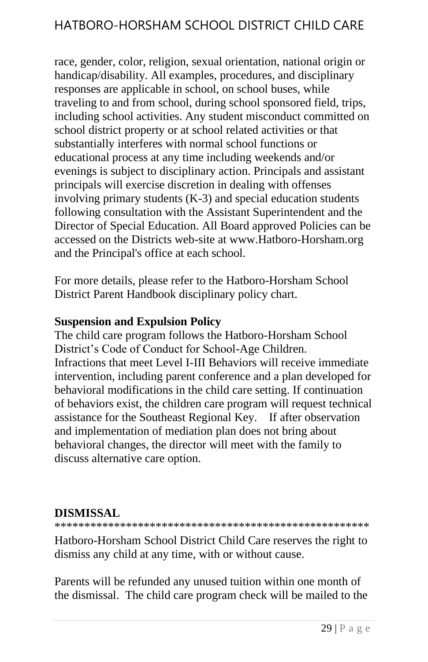race, gender, color, religion, sexual orientation, national origin or handicap/disability. All examples, procedures, and disciplinary responses are applicable in school, on school buses, while traveling to and from school, during school sponsored field, trips, including school activities. Any student misconduct committed on school district property or at school related activities or that substantially interferes with normal school functions or educational process at any time including weekends and/or evenings is subject to disciplinary action. Principals and assistant principals will exercise discretion in dealing with offenses involving primary students (K-3) and special education students following consultation with the Assistant Superintendent and the Director of Special Education. All Board approved Policies can be accessed on the Districts web-site at www.Hatboro-Horsham.org and the Principal's office at each school.

For more details, please refer to the Hatboro-Horsham School District Parent Handbook disciplinary policy chart.

#### **Suspension and Expulsion Policy**

The child care program follows the Hatboro-Horsham School District's Code of Conduct for School-Age Children. Infractions that meet Level I-III Behaviors will receive immediate intervention, including parent conference and a plan developed for behavioral modifications in the child care setting. If continuation of behaviors exist, the children care program will request technical assistance for the Southeast Regional Key. If after observation and implementation of mediation plan does not bring about behavioral changes, the director will meet with the family to discuss alternative care option.

#### **DISMISSAL**

\*\*\*\*\*\*\*\*\*\*\*\*\*\*\*\*\*\*\*\*\*\*\*\*\*\*\*\*\*\*\*\*\*\*\*\*\*\*\*\*\*\*\*\*\*\*\*\*\*\*\*\*\*

Hatboro-Horsham School District Child Care reserves the right to dismiss any child at any time, with or without cause.

Parents will be refunded any unused tuition within one month of the dismissal. The child care program check will be mailed to the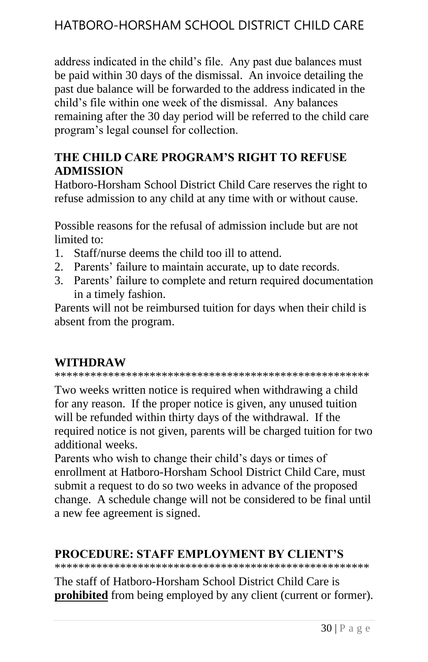address indicated in the child's file. Any past due balances must be paid within 30 days of the dismissal. An invoice detailing the past due balance will be forwarded to the address indicated in the child's file within one week of the dismissal. Any balances remaining after the 30 day period will be referred to the child care program's legal counsel for collection.

#### **THE CHILD CARE PROGRAM'S RIGHT TO REFUSE ADMISSION**

Hatboro-Horsham School District Child Care reserves the right to refuse admission to any child at any time with or without cause.

Possible reasons for the refusal of admission include but are not limited to:

- 1. Staff/nurse deems the child too ill to attend.
- 2. Parents' failure to maintain accurate, up to date records.
- 3. Parents' failure to complete and return required documentation in a timely fashion.

Parents will not be reimbursed tuition for days when their child is absent from the program.

### **WITHDRAW**

\*\*\*\*\*\*\*\*\*\*\*\*\*\*\*\*\*\*\*\*\*\*\*\*\*\*\*\*\*\*\*\*\*\*\*\*\*\*\*\*\*\*\*\*\*\*\*\*\*\*\*\*\*

Two weeks written notice is required when withdrawing a child for any reason. If the proper notice is given, any unused tuition will be refunded within thirty days of the withdrawal. If the required notice is not given, parents will be charged tuition for two additional weeks.

Parents who wish to change their child's days or times of enrollment at Hatboro-Horsham School District Child Care, must submit a request to do so two weeks in advance of the proposed change. A schedule change will not be considered to be final until a new fee agreement is signed.

#### **PROCEDURE: STAFF EMPLOYMENT BY CLIENT'S**

\*\*\*\*\*\*\*\*\*\*\*\*\*\*\*\*\*\*\*\*\*\*\*\*\*\*\*\*\*\*\*\*\*\*\*\*\*\*\*\*\*\*\*\*\*\*\*\*\*\*\*\*\*

The staff of Hatboro-Horsham School District Child Care is **prohibited** from being employed by any client (current or former).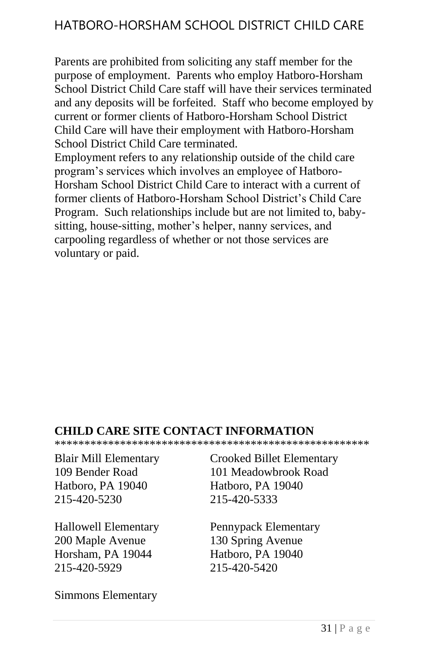Parents are prohibited from soliciting any staff member for the purpose of employment. Parents who employ Hatboro-Horsham School District Child Care staff will have their services terminated and any deposits will be forfeited. Staff who become employed by current or former clients of Hatboro-Horsham School District Child Care will have their employment with Hatboro-Horsham School District Child Care terminated.

Employment refers to any relationship outside of the child care program's services which involves an employee of Hatboro-Horsham School District Child Care to interact with a current of former clients of Hatboro-Horsham School District's Child Care Program. Such relationships include but are not limited to, babysitting, house-sitting, mother's helper, nanny services, and carpooling regardless of whether or not those services are voluntary or paid.

#### **CHILD CARE SITE CONTACT INFORMATION**

\*\*\*\*\*\*\*\*\*\*\*\*\*\*\*\*\*\*\*\*\*\*\*\*\*\*\*\*\*\*\*\*\*\*\*\*\*\*\*\*\*\*\*\*\*\*\*\*\*\*\*\*\*

Hatboro, PA 19040 Hatboro, PA 19040 215-420-5230 215-420-5333

200 Maple Avenue 130 Spring Avenue Horsham, PA 19044 Hatboro, PA 19040 215-420-5929 215-420-5420

Simmons Elementary

Blair Mill Elementary Crooked Billet Elementary 109 Bender Road 101 Meadowbrook Road

Hallowell Elementary Pennypack Elementary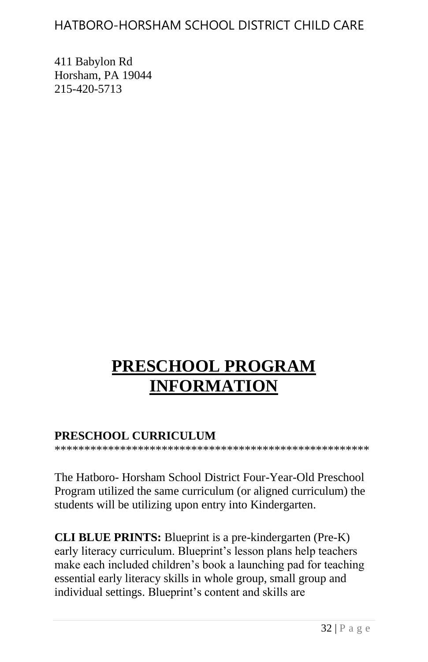411 Babylon Rd Horsham, PA 19044 215-420-5713

# **PRESCHOOL PROGRAM INFORMATION**

#### **PRESCHOOL CURRICULUM**

\*\*\*\*\*\*\*\*\*\*\*\*\*\*\*\*\*\*\*\*\*\*\*\*\*\*\*\*\*\*\*\*\*\*\*\*\*\*\*\*\*\*\*\*\*\*\*\*\*\*\*\*\*

The Hatboro- Horsham School District Four-Year-Old Preschool Program utilized the same curriculum (or aligned curriculum) the students will be utilizing upon entry into Kindergarten.

**CLI BLUE PRINTS:** Blueprint is a pre-kindergarten (Pre-K) early literacy curriculum. Blueprint's lesson plans help teachers make each included children's book a launching pad for teaching essential early literacy skills in whole group, small group and individual settings. Blueprint's content and skills are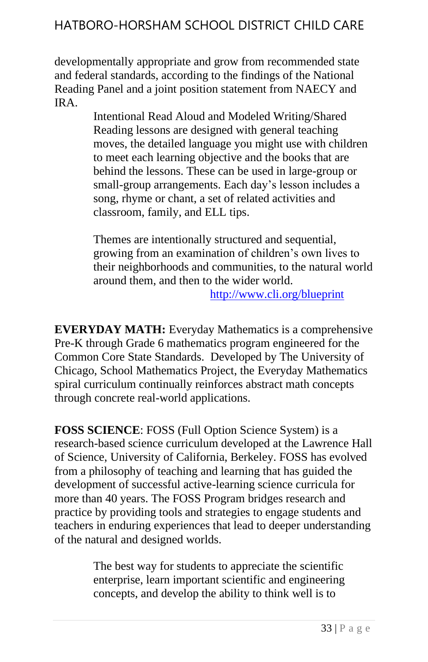developmentally appropriate and grow from recommended state and federal standards, according to the findings of the National Reading Panel and a joint position statement from NAECY and IRA.

> Intentional Read Aloud and Modeled Writing/Shared Reading lessons are designed with general teaching moves, the detailed language you might use with children to meet each learning objective and the books that are behind the lessons. These can be used in large-group or small-group arrangements. Each day's lesson includes a song, rhyme or chant, a set of related activities and classroom, family, and ELL tips.

Themes are intentionally structured and sequential, growing from an examination of children's own lives to their neighborhoods and communities, to the natural world around them, and then to the wider world.

<http://www.cli.org/blueprint>

**EVERYDAY MATH:** Everyday Mathematics is a comprehensive Pre-K through Grade 6 mathematics program engineered for the Common Core State Standards. Developed by The University of Chicago, School Mathematics Project, the Everyday Mathematics spiral curriculum continually reinforces abstract math concepts through concrete real-world applications.

**FOSS SCIENCE**: FOSS (Full Option Science System) is a research-based science curriculum developed at the Lawrence Hall of Science, University of California, Berkeley. FOSS has evolved from a philosophy of teaching and learning that has guided the development of successful active-learning science curricula for more than 40 years. The FOSS Program bridges research and practice by providing tools and strategies to engage students and teachers in enduring experiences that lead to deeper understanding of the natural and designed worlds.

> The best way for students to appreciate the scientific enterprise, learn important scientific and engineering concepts, and develop the ability to think well is to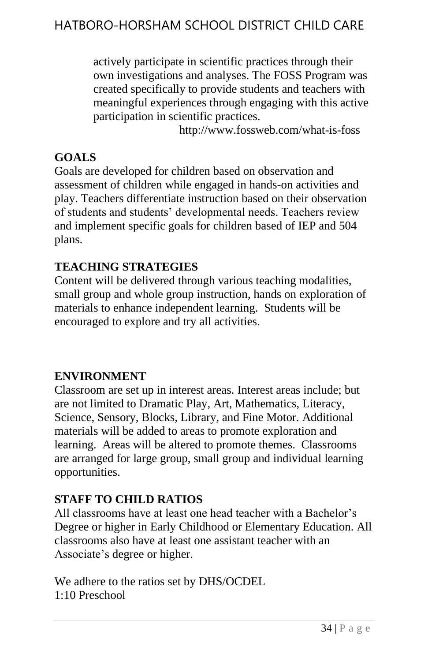actively participate in scientific practices through their own investigations and analyses. The FOSS Program was created specifically to provide students and teachers with meaningful experiences through engaging with this active participation in scientific practices.

http://www.fossweb.com/what-is-foss

### **GOALS**

Goals are developed for children based on observation and assessment of children while engaged in hands-on activities and play. Teachers differentiate instruction based on their observation of students and students' developmental needs. Teachers review and implement specific goals for children based of IEP and 504 plans.

### **TEACHING STRATEGIES**

Content will be delivered through various teaching modalities, small group and whole group instruction, hands on exploration of materials to enhance independent learning. Students will be encouraged to explore and try all activities.

### **ENVIRONMENT**

Classroom are set up in interest areas. Interest areas include; but are not limited to Dramatic Play, Art, Mathematics, Literacy, Science, Sensory, Blocks, Library, and Fine Motor. Additional materials will be added to areas to promote exploration and learning. Areas will be altered to promote themes. Classrooms are arranged for large group, small group and individual learning opportunities.

### **STAFF TO CHILD RATIOS**

All classrooms have at least one head teacher with a Bachelor's Degree or higher in Early Childhood or Elementary Education. All classrooms also have at least one assistant teacher with an Associate's degree or higher.

We adhere to the ratios set by DHS/OCDEL 1:10 Preschool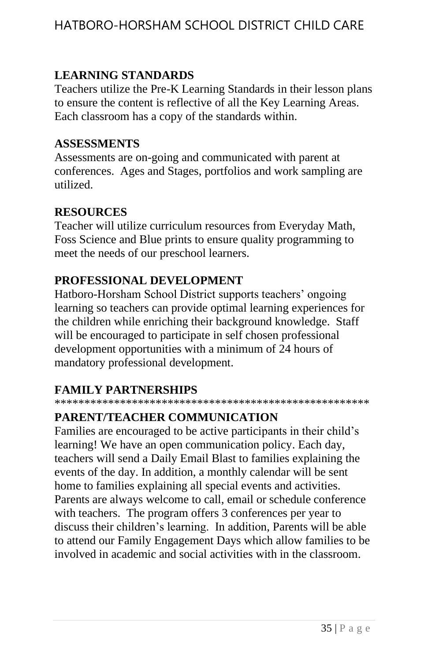### **LEARNING STANDARDS**

Teachers utilize the Pre-K Learning Standards in their lesson plans to ensure the content is reflective of all the Key Learning Areas. Each classroom has a copy of the standards within.

#### **ASSESSMENTS**

Assessments are on-going and communicated with parent at conferences. Ages and Stages, portfolios and work sampling are utilized.

#### **RESOURCES**

Teacher will utilize curriculum resources from Everyday Math, Foss Science and Blue prints to ensure quality programming to meet the needs of our preschool learners.

#### **PROFESSIONAL DEVELOPMENT**

Hatboro-Horsham School District supports teachers' ongoing learning so teachers can provide optimal learning experiences for the children while enriching their background knowledge. Staff will be encouraged to participate in self chosen professional development opportunities with a minimum of 24 hours of mandatory professional development.

### **FAMILY PARTNERSHIPS**

\*\*\*\*\*\*\*\*\*\*\*\*\*\*\*\*\*\*\*\*\*\*\*\*\*\*\*\*\*\*\*\*\*\*\*\*\*\*\*\*\*\*\*\*\*\*\*\*\*\*\*\*\*

### **PARENT/TEACHER COMMUNICATION**

Families are encouraged to be active participants in their child's learning! We have an open communication policy. Each day, teachers will send a Daily Email Blast to families explaining the events of the day. In addition, a monthly calendar will be sent home to families explaining all special events and activities. Parents are always welcome to call, email or schedule conference with teachers. The program offers 3 conferences per year to discuss their children's learning. In addition, Parents will be able to attend our Family Engagement Days which allow families to be involved in academic and social activities with in the classroom.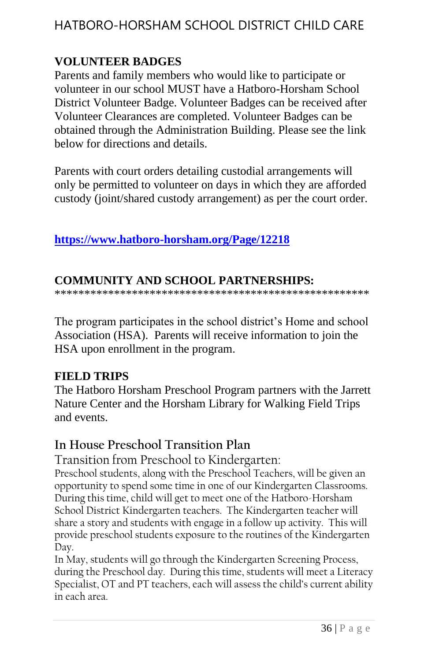### **VOLUNTEER BADGES**

Parents and family members who would like to participate or volunteer in our school MUST have a Hatboro-Horsham School District Volunteer Badge. Volunteer Badges can be received after Volunteer Clearances are completed. Volunteer Badges can be obtained through the Administration Building. Please see the link below for directions and details.

Parents with court orders detailing custodial arrangements will only be permitted to volunteer on days in which they are afforded custody (joint/shared custody arrangement) as per the court order.

### **<https://www.hatboro-horsham.org/Page/12218>**

### **COMMUNITY AND SCHOOL PARTNERSHIPS:**

\*\*\*\*\*\*\*\*\*\*\*\*\*\*\*\*\*\*\*\*\*\*\*\*\*\*\*\*\*\*\*\*\*\*\*\*\*\*\*\*\*\*\*\*\*\*\*\*\*\*\*\*\*

The program participates in the school district's Home and school Association (HSA). Parents will receive information to join the HSA upon enrollment in the program.

### **FIELD TRIPS**

The Hatboro Horsham Preschool Program partners with the Jarrett Nature Center and the Horsham Library for Walking Field Trips and events.

### **In House Preschool Transition Plan**

Transition from Preschool to Kindergarten:

Preschool students, along with the Preschool Teachers, will be given an opportunity to spend some time in one of our Kindergarten Classrooms. During this time, child will get to meet one of the Hatboro-Horsham School District Kindergarten teachers. The Kindergarten teacher will share a story and students with engage in a follow up activity. This will provide preschool students exposure to the routines of the Kindergarten Day.

In May, students will go through the Kindergarten Screening Process, during the Preschool day. During this time, students will meet a Literacy Specialist, OT and PT teachers, each will assess the child's current ability in each area.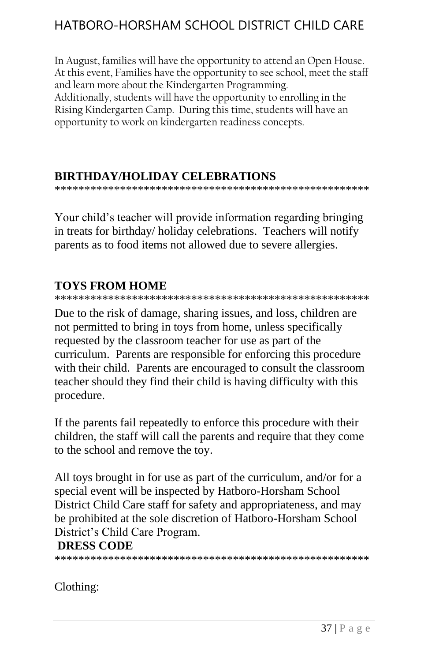In August, families will have the opportunity to attend an Open House. At this event, Families have the opportunity to see school, meet the staff and learn more about the Kindergarten Programming. Additionally, students will have the opportunity to enrolling in the Rising Kindergarten Camp. During this time, students will have an opportunity to work on kindergarten readiness concepts.

#### **BIRTHDAY/HOLIDAY CELEBRATIONS**

\*\*\*\*\*\*\*\*\*\*\*\*\*\*\*\*\*\*\*\*\*\*\*\*\*\*\*\*\*\*\*\*\*\*\*\*\*\*\*\*\*\*\*\*\*\*\*\*\*\*\*\*\*

Your child's teacher will provide information regarding bringing in treats for birthday/ holiday celebrations. Teachers will notify parents as to food items not allowed due to severe allergies.

### **TOYS FROM HOME**

\*\*\*\*\*\*\*\*\*\*\*\*\*\*\*\*\*\*\*\*\*\*\*\*\*\*\*\*\*\*\*\*\*\*\*\*\*\*\*\*\*\*\*\*\*\*\*\*\*\*\*\*\*

Due to the risk of damage, sharing issues, and loss, children are not permitted to bring in toys from home, unless specifically requested by the classroom teacher for use as part of the curriculum. Parents are responsible for enforcing this procedure with their child. Parents are encouraged to consult the classroom teacher should they find their child is having difficulty with this procedure.

If the parents fail repeatedly to enforce this procedure with their children, the staff will call the parents and require that they come to the school and remove the toy.

All toys brought in for use as part of the curriculum, and/or for a special event will be inspected by Hatboro-Horsham School District Child Care staff for safety and appropriateness, and may be prohibited at the sole discretion of Hatboro-Horsham School District's Child Care Program.

#### **DRESS CODE**

\*\*\*\*\*\*\*\*\*\*\*\*\*\*\*\*\*\*\*\*\*\*\*\*\*\*\*\*\*\*\*\*\*\*\*\*\*\*\*\*\*\*\*\*\*\*\*\*\*\*\*\*\*

Clothing: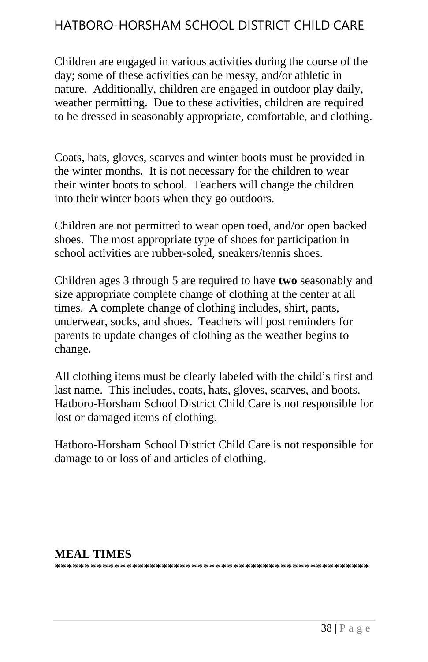Children are engaged in various activities during the course of the day; some of these activities can be messy, and/or athletic in nature. Additionally, children are engaged in outdoor play daily, weather permitting. Due to these activities, children are required to be dressed in seasonably appropriate, comfortable, and clothing.

Coats, hats, gloves, scarves and winter boots must be provided in the winter months. It is not necessary for the children to wear their winter boots to school. Teachers will change the children into their winter boots when they go outdoors.

Children are not permitted to wear open toed, and/or open backed shoes. The most appropriate type of shoes for participation in school activities are rubber-soled, sneakers/tennis shoes.

Children ages 3 through 5 are required to have **two** seasonably and size appropriate complete change of clothing at the center at all times. A complete change of clothing includes, shirt, pants, underwear, socks, and shoes. Teachers will post reminders for parents to update changes of clothing as the weather begins to change.

All clothing items must be clearly labeled with the child's first and last name. This includes, coats, hats, gloves, scarves, and boots. Hatboro-Horsham School District Child Care is not responsible for lost or damaged items of clothing.

Hatboro-Horsham School District Child Care is not responsible for damage to or loss of and articles of clothing.

#### **MEAL TIMES**

\*\*\*\*\*\*\*\*\*\*\*\*\*\*\*\*\*\*\*\*\*\*\*\*\*\*\*\*\*\*\*\*\*\*\*\*\*\*\*\*\*\*\*\*\*\*\*\*\*\*\*\*\*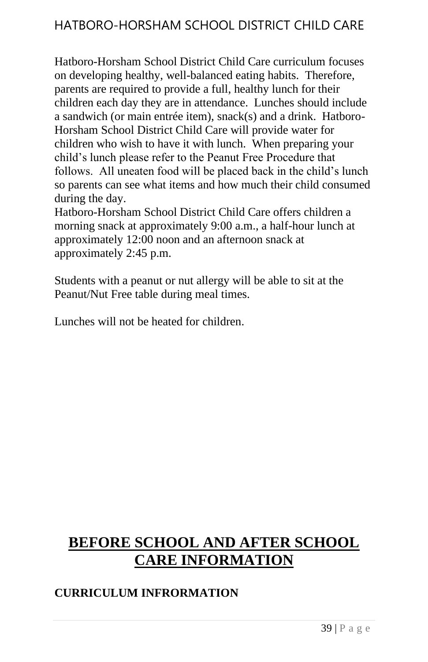Hatboro-Horsham School District Child Care curriculum focuses on developing healthy, well-balanced eating habits. Therefore, parents are required to provide a full, healthy lunch for their children each day they are in attendance. Lunches should include a sandwich (or main entrée item), snack(s) and a drink. Hatboro-Horsham School District Child Care will provide water for children who wish to have it with lunch. When preparing your child's lunch please refer to the Peanut Free Procedure that follows. All uneaten food will be placed back in the child's lunch so parents can see what items and how much their child consumed during the day.

Hatboro-Horsham School District Child Care offers children a morning snack at approximately 9:00 a.m., a half-hour lunch at approximately 12:00 noon and an afternoon snack at approximately 2:45 p.m.

Students with a peanut or nut allergy will be able to sit at the Peanut/Nut Free table during meal times.

Lunches will not be heated for children.

# **BEFORE SCHOOL AND AFTER SCHOOL CARE INFORMATION**

### **CURRICULUM INFRORMATION**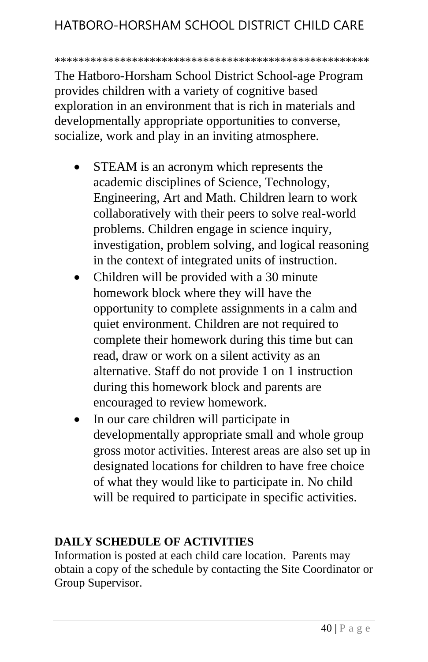#### \*\*\*\*\*\*\*\*\*\*\*\*\*\*\*\*\*\*\*\*\*\*\*\*\*\*\*\*\*\*\*\*\*\*\*\*\*\*\*\*\*\*\*\*\*\*\*\*\*\*\*\*\*

The Hatboro-Horsham School District School-age Program provides children with a variety of cognitive based exploration in an environment that is rich in materials and developmentally appropriate opportunities to converse, socialize, work and play in an inviting atmosphere.

- STEAM is an acronym which represents the academic disciplines of Science, Technology, Engineering, Art and Math. Children learn to work collaboratively with their peers to solve real-world problems. Children engage in science inquiry, investigation, problem solving, and logical reasoning in the context of integrated units of instruction.
- Children will be provided with a 30 minute homework block where they will have the opportunity to complete assignments in a calm and quiet environment. Children are not required to complete their homework during this time but can read, draw or work on a silent activity as an alternative. Staff do not provide 1 on 1 instruction during this homework block and parents are encouraged to review homework.
- In our care children will participate in developmentally appropriate small and whole group gross motor activities. Interest areas are also set up in designated locations for children to have free choice of what they would like to participate in. No child will be required to participate in specific activities.

#### **DAILY SCHEDULE OF ACTIVITIES**

Information is posted at each child care location. Parents may obtain a copy of the schedule by contacting the Site Coordinator or Group Supervisor.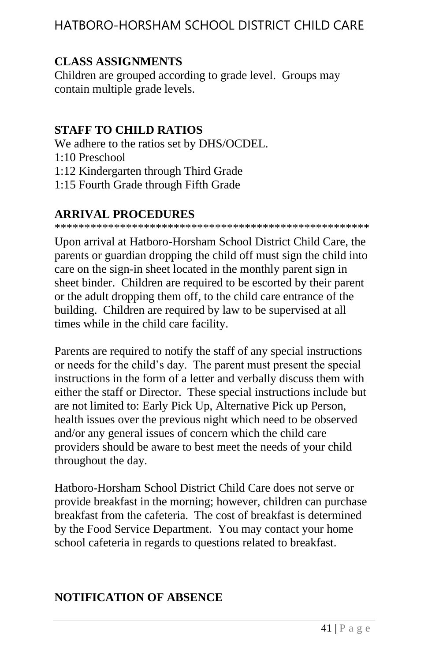### **CLASS ASSIGNMENTS**

Children are grouped according to grade level. Groups may contain multiple grade levels.

### **STAFF TO CHILD RATIOS**

We adhere to the ratios set by DHS/OCDEL. 1:10 Preschool 1:12 Kindergarten through Third Grade 1:15 Fourth Grade through Fifth Grade

### **ARRIVAL PROCEDURES**

\*\*\*\*\*\*\*\*\*\*\*\*\*\*\*\*\*\*\*\*\*\*\*\*\*\*\*\*\*\*\*\*\*\*\*\*\*\*\*\*\*\*\*\*\*\*\*\*\*\*\*\*\*

Upon arrival at Hatboro-Horsham School District Child Care, the parents or guardian dropping the child off must sign the child into care on the sign-in sheet located in the monthly parent sign in sheet binder. Children are required to be escorted by their parent or the adult dropping them off, to the child care entrance of the building. Children are required by law to be supervised at all times while in the child care facility.

Parents are required to notify the staff of any special instructions or needs for the child's day. The parent must present the special instructions in the form of a letter and verbally discuss them with either the staff or Director. These special instructions include but are not limited to: Early Pick Up, Alternative Pick up Person, health issues over the previous night which need to be observed and/or any general issues of concern which the child care providers should be aware to best meet the needs of your child throughout the day.

Hatboro-Horsham School District Child Care does not serve or provide breakfast in the morning; however, children can purchase breakfast from the cafeteria. The cost of breakfast is determined by the Food Service Department. You may contact your home school cafeteria in regards to questions related to breakfast.

### **NOTIFICATION OF ABSENCE**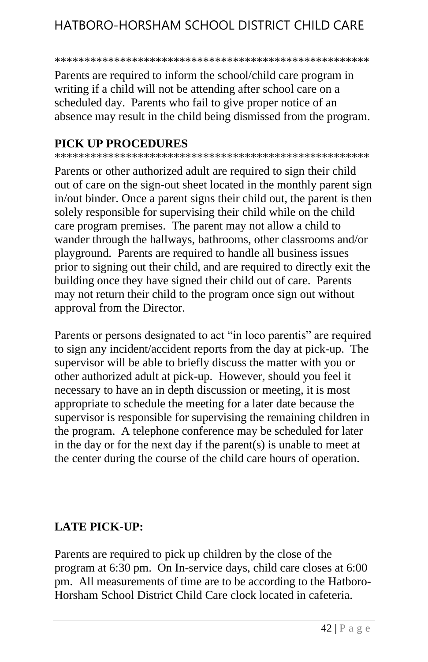#### \*\*\*\*\*\*\*\*\*\*\*\*\*\*\*\*\*\*\*\*\*\*\*\*\*\*\*\*\*\*\*\*\*\*\*\*\*\*\*\*\*\*\*\*\*\*\*\*\*\*\*\*\*

Parents are required to inform the school/child care program in writing if a child will not be attending after school care on a scheduled day. Parents who fail to give proper notice of an absence may result in the child being dismissed from the program.

#### **PICK UP PROCEDURES**

\*\*\*\*\*\*\*\*\*\*\*\*\*\*\*\*\*\*\*\*\*\*\*\*\*\*\*\*\*\*\*\*\*\*\*\*\*\*\*\*\*\*\*\*\*\*\*\*\*\*\*\*\*

Parents or other authorized adult are required to sign their child out of care on the sign-out sheet located in the monthly parent sign in/out binder. Once a parent signs their child out, the parent is then solely responsible for supervising their child while on the child care program premises. The parent may not allow a child to wander through the hallways, bathrooms, other classrooms and/or playground. Parents are required to handle all business issues prior to signing out their child, and are required to directly exit the building once they have signed their child out of care. Parents may not return their child to the program once sign out without approval from the Director.

Parents or persons designated to act "in loco parentis" are required to sign any incident/accident reports from the day at pick-up. The supervisor will be able to briefly discuss the matter with you or other authorized adult at pick-up. However, should you feel it necessary to have an in depth discussion or meeting, it is most appropriate to schedule the meeting for a later date because the supervisor is responsible for supervising the remaining children in the program. A telephone conference may be scheduled for later in the day or for the next day if the parent(s) is unable to meet at the center during the course of the child care hours of operation.

#### **LATE PICK-UP:**

Parents are required to pick up children by the close of the program at 6:30 pm. On In-service days, child care closes at 6:00 pm. All measurements of time are to be according to the Hatboro-Horsham School District Child Care clock located in cafeteria.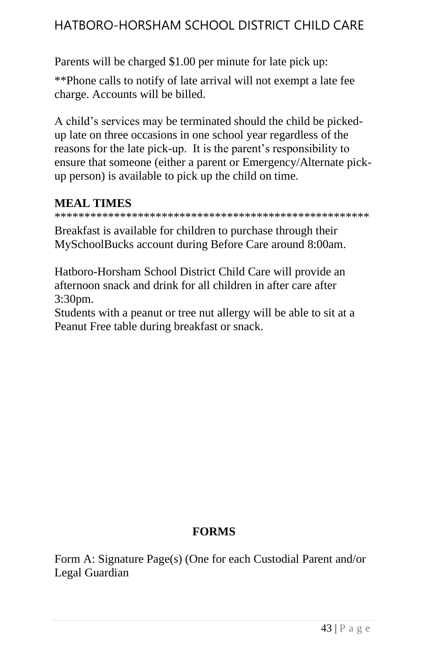Parents will be charged \$1.00 per minute for late pick up:

\*\*Phone calls to notify of late arrival will not exempt a late fee charge. Accounts will be billed.

A child's services may be terminated should the child be pickedup late on three occasions in one school year regardless of the reasons for the late pick-up. It is the parent's responsibility to ensure that someone (either a parent or Emergency/Alternate pickup person) is available to pick up the child on time.

# **MEAL TIMES**

\*\*\*\*\*\*\*\*\*\*\*\*\*\*\*\*\*\*\*\*\*\*\*\*\*\*\*\*\*\*\*\*\*\*\*\*\*\*\*\*\*\*\*\*\*\*\*\*\*\*\*\*\*

Breakfast is available for children to purchase through their MySchoolBucks account during Before Care around 8:00am.

Hatboro-Horsham School District Child Care will provide an afternoon snack and drink for all children in after care after 3:30pm.

Students with a peanut or tree nut allergy will be able to sit at a Peanut Free table during breakfast or snack.

### **FORMS**

Form A: Signature Page(s) (One for each Custodial Parent and/or Legal Guardian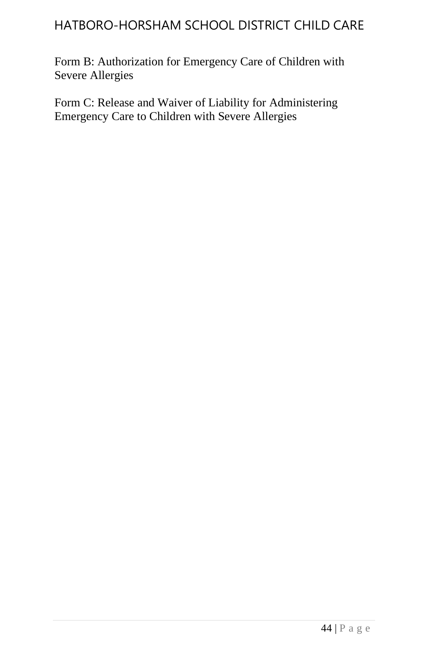Form B: Authorization for Emergency Care of Children with Severe Allergies

Form C: Release and Waiver of Liability for Administering Emergency Care to Children with Severe Allergies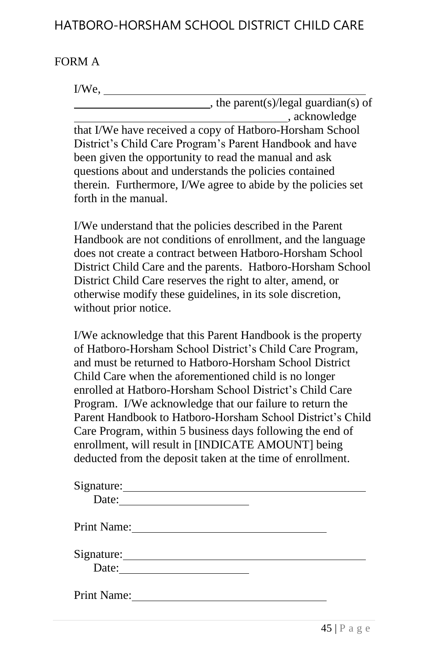#### FORM A

#### I/We,

, the parent(s)/legal guardian(s) of , acknowledge that I/We have received a copy of Hatboro-Horsham School District's Child Care Program's Parent Handbook and have been given the opportunity to read the manual and ask questions about and understands the policies contained

therein. Furthermore, I/We agree to abide by the policies set forth in the manual.

I/We understand that the policies described in the Parent Handbook are not conditions of enrollment, and the language does not create a contract between Hatboro-Horsham School District Child Care and the parents. Hatboro-Horsham School District Child Care reserves the right to alter, amend, or otherwise modify these guidelines, in its sole discretion, without prior notice.

I/We acknowledge that this Parent Handbook is the property of Hatboro-Horsham School District's Child Care Program, and must be returned to Hatboro-Horsham School District Child Care when the aforementioned child is no longer enrolled at Hatboro-Horsham School District's Child Care Program. I/We acknowledge that our failure to return the Parent Handbook to Hatboro-Horsham School District's Child Care Program, within 5 business days following the end of enrollment, will result in [INDICATE AMOUNT] being deducted from the deposit taken at the time of enrollment.

| Date: $\qquad \qquad$ |  |
|-----------------------|--|
| Print Name:           |  |
| Signature:            |  |
| Print Name:           |  |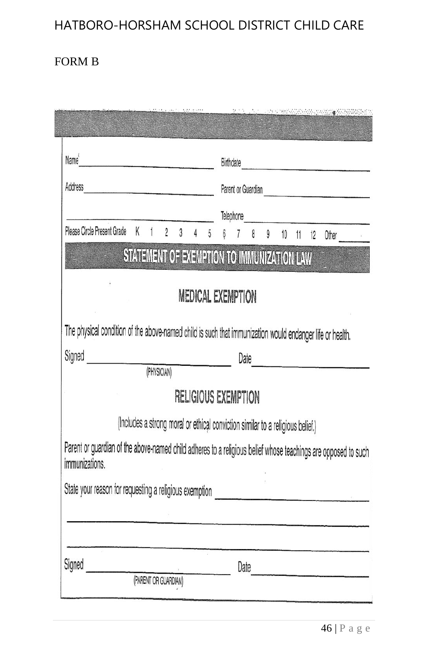### FORM B

**CENTRE CONTROL** 

| Name <sup>4</sup> 2008 2008 2012 2022 2022 2023 2023 2024 2022 2023 2024 2022 2023 2024 2022 2023 2024 2022 2023 2024 2023 20 | Birthdate                                                                                                     |
|-------------------------------------------------------------------------------------------------------------------------------|---------------------------------------------------------------------------------------------------------------|
| Address                                                                                                                       | Parent or Guardian Parent of Guardian                                                                         |
|                                                                                                                               |                                                                                                               |
| Please Circle Present Grade                                                                                                   | K 1 2 3 4 5 6 7 8 9 10 11 12 Other                                                                            |
|                                                                                                                               | STATEMENT OF EXEMPTION TO IMMUNIZATION LAW                                                                    |
|                                                                                                                               | MEDICAL EXEMPTION                                                                                             |
| The physical condition of the above-named child is such that immunization would endanger life or health.                      |                                                                                                               |
| Signed <u>Communications</u>                                                                                                  | Date                                                                                                          |
|                                                                                                                               |                                                                                                               |
|                                                                                                                               | <b>RELIGIOUS EXEMPTION</b>                                                                                    |
|                                                                                                                               | (Includes a strong moral or ethical conviction similar to a religious belief.)                                |
| immunizations.                                                                                                                | Parent or guardian of the above-named child adheres to a religious belief whose teachings are opposed to such |
|                                                                                                                               |                                                                                                               |
|                                                                                                                               |                                                                                                               |
|                                                                                                                               |                                                                                                               |
| Signed<br>(PARENT OR GUARDIAN)                                                                                                | Date                                                                                                          |
|                                                                                                                               |                                                                                                               |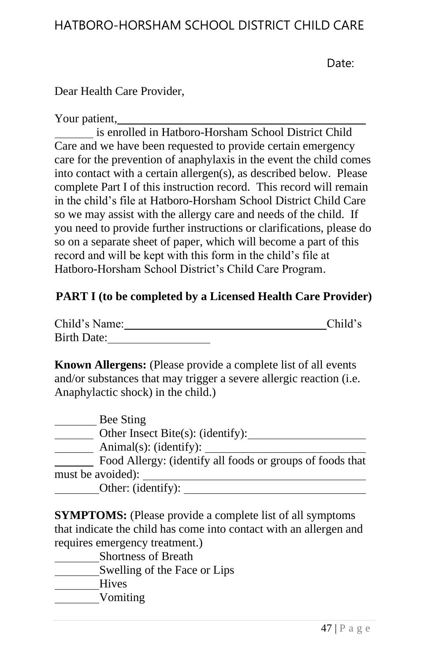Date:

Dear Health Care Provider,

#### Your patient,

is enrolled in Hatboro-Horsham School District Child Care and we have been requested to provide certain emergency care for the prevention of anaphylaxis in the event the child comes into contact with a certain allergen(s), as described below. Please complete Part I of this instruction record. This record will remain in the child's file at Hatboro-Horsham School District Child Care so we may assist with the allergy care and needs of the child. If you need to provide further instructions or clarifications, please do so on a separate sheet of paper, which will become a part of this record and will be kept with this form in the child's file at Hatboro-Horsham School District's Child Care Program.

#### **PART I (to be completed by a Licensed Health Care Provider)**

| Child's Name: |  | Child's |
|---------------|--|---------|
| Birth Date:   |  |         |

**Known Allergens:** (Please provide a complete list of all events and/or substances that may trigger a severe allergic reaction (i.e. Anaphylactic shock) in the child.)

| Bee Sting                                                 |
|-----------------------------------------------------------|
| Other Insect Bite $(s)$ : (identify):                     |
| Animal(s): (identity):                                    |
| Food Allergy: (identify all foods or groups of foods that |
| must be avoided):                                         |
| Other: (identify):                                        |

**SYMPTOMS:** (Please provide a complete list of all symptoms) that indicate the child has come into contact with an allergen and requires emergency treatment.)

- Shortness of Breath
- Swelling of the Face or Lips
- Hives
- Vomiting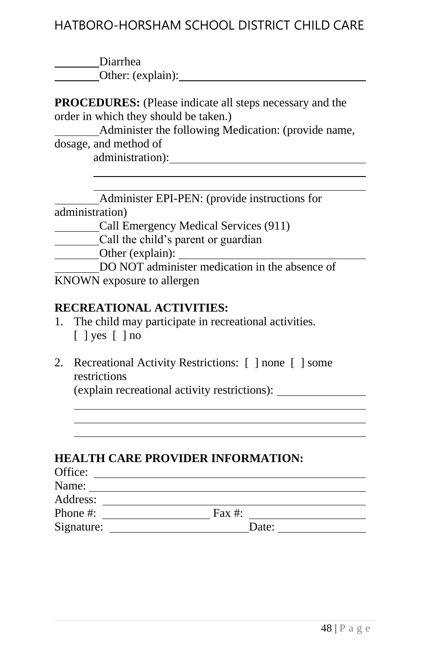| Diarrhea          |
|-------------------|
| Other: (explain): |

**PROCEDURES:** (Please indicate all steps necessary and the order in which they should be taken.)

 Administer the following Medication: (provide name, dosage, and method of administration):

 Administer EPI-PEN: (provide instructions for administration) Call Emergency Medical Services (911) Call the child's parent or guardian Other (explain): DO NOT administer medication in the absence of KNOWN exposure to allergen

#### **RECREATIONAL ACTIVITIES:**

- 1. The child may participate in recreational activities. [ ] yes [ ] no
- 2. Recreational Activity Restrictions: [ ] none [ ] some restrictions

(explain recreational activity restrictions):

#### **HEALTH CARE PROVIDER INFORMATION:**

| Office:    |           |  |
|------------|-----------|--|
| Name:      |           |  |
| Address:   |           |  |
| Phone #:   | Fax $#$ : |  |
| Signature: | Date:     |  |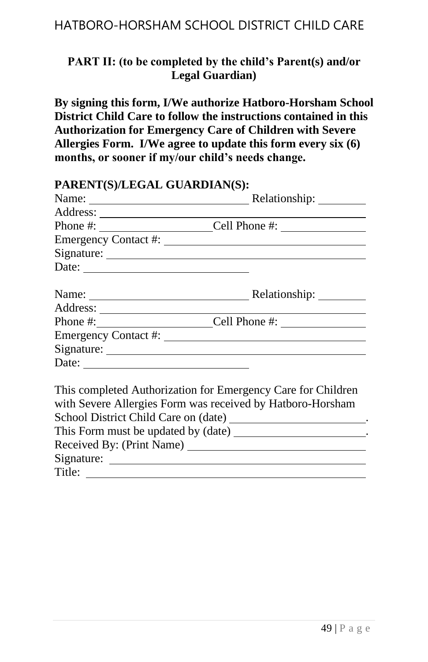### **PART II: (to be completed by the child's Parent(s) and/or Legal Guardian)**

**By signing this form, I/We authorize Hatboro-Horsham School District Child Care to follow the instructions contained in this Authorization for Emergency Care of Children with Severe Allergies Form. I/We agree to update this form every six (6) months, or sooner if my/our child's needs change.**

| PARENT(S)/LEGAL GUARDIAN(S): |                                                                                                                                                                                                                                                              |
|------------------------------|--------------------------------------------------------------------------------------------------------------------------------------------------------------------------------------------------------------------------------------------------------------|
|                              | Relationship: ________                                                                                                                                                                                                                                       |
|                              |                                                                                                                                                                                                                                                              |
|                              |                                                                                                                                                                                                                                                              |
|                              |                                                                                                                                                                                                                                                              |
|                              |                                                                                                                                                                                                                                                              |
|                              |                                                                                                                                                                                                                                                              |
|                              | Name: <b>Name:</b> Relationship:                                                                                                                                                                                                                             |
|                              |                                                                                                                                                                                                                                                              |
|                              |                                                                                                                                                                                                                                                              |
|                              |                                                                                                                                                                                                                                                              |
|                              |                                                                                                                                                                                                                                                              |
|                              |                                                                                                                                                                                                                                                              |
|                              | This completed Authorization for Emergency Care for Children<br>with Severe Allergies Form was received by Hatboro-Horsham<br>School District Child Care on (date) ________________________.<br>This Form must be updated by (date) _______________________. |
|                              |                                                                                                                                                                                                                                                              |
|                              |                                                                                                                                                                                                                                                              |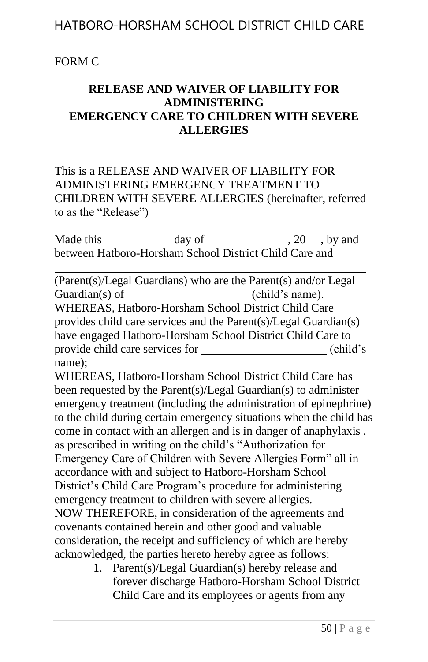### FORM C

### **RELEASE AND WAIVER OF LIABILITY FOR ADMINISTERING EMERGENCY CARE TO CHILDREN WITH SEVERE ALLERGIES**

This is a RELEASE AND WAIVER OF LIABILITY FOR ADMINISTERING EMERGENCY TREATMENT TO CHILDREN WITH SEVERE ALLERGIES (hereinafter, referred to as the "Release")

Made this \_\_\_\_\_\_\_\_\_\_\_\_ day of \_\_\_\_\_\_\_\_\_\_\_\_\_, 20\_\_\_, by and between Hatboro-Horsham School District Child Care and

(Parent(s)/Legal Guardians) who are the Parent(s) and/or Legal Guardian(s) of \_\_\_\_\_\_\_\_\_\_\_\_\_\_\_\_\_\_\_(child's name). Guardian(s) of WHEREAS, Hatboro-Horsham School District Child Care provides child care services and the Parent(s)/Legal Guardian(s) have engaged Hatboro-Horsham School District Child Care to provide child care services for (child's name);

WHEREAS, Hatboro-Horsham School District Child Care has been requested by the Parent(s)/Legal Guardian(s) to administer emergency treatment (including the administration of epinephrine) to the child during certain emergency situations when the child has come in contact with an allergen and is in danger of anaphylaxis , as prescribed in writing on the child's "Authorization for Emergency Care of Children with Severe Allergies Form" all in accordance with and subject to Hatboro-Horsham School District's Child Care Program's procedure for administering emergency treatment to children with severe allergies. NOW THEREFORE, in consideration of the agreements and covenants contained herein and other good and valuable consideration, the receipt and sufficiency of which are hereby acknowledged, the parties hereto hereby agree as follows:

> 1. Parent(s)/Legal Guardian(s) hereby release and forever discharge Hatboro-Horsham School District Child Care and its employees or agents from any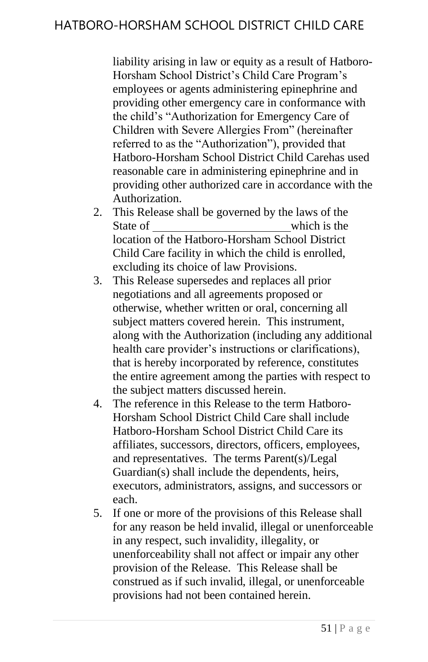liability arising in law or equity as a result of Hatboro-Horsham School District's Child Care Program's employees or agents administering epinephrine and providing other emergency care in conformance with the child's "Authorization for Emergency Care of Children with Severe Allergies From" (hereinafter referred to as the "Authorization"), provided that Hatboro-Horsham School District Child Carehas used reasonable care in administering epinephrine and in providing other authorized care in accordance with the Authorization.

- 2. This Release shall be governed by the laws of the State of which is the location of the Hatboro-Horsham School District Child Care facility in which the child is enrolled, excluding its choice of law Provisions.
- 3. This Release supersedes and replaces all prior negotiations and all agreements proposed or otherwise, whether written or oral, concerning all subject matters covered herein. This instrument, along with the Authorization (including any additional health care provider's instructions or clarifications), that is hereby incorporated by reference, constitutes the entire agreement among the parties with respect to the subject matters discussed herein.
- 4. The reference in this Release to the term Hatboro-Horsham School District Child Care shall include Hatboro-Horsham School District Child Care its affiliates, successors, directors, officers, employees, and representatives. The terms Parent(s)/Legal Guardian(s) shall include the dependents, heirs, executors, administrators, assigns, and successors or each.
- 5. If one or more of the provisions of this Release shall for any reason be held invalid, illegal or unenforceable in any respect, such invalidity, illegality, or unenforceability shall not affect or impair any other provision of the Release. This Release shall be construed as if such invalid, illegal, or unenforceable provisions had not been contained herein.